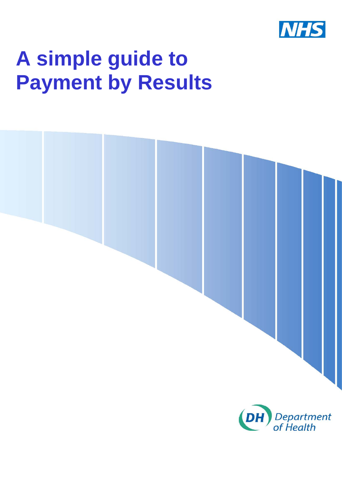

# **A simple guide to Payment by Results**

<span id="page-0-0"></span>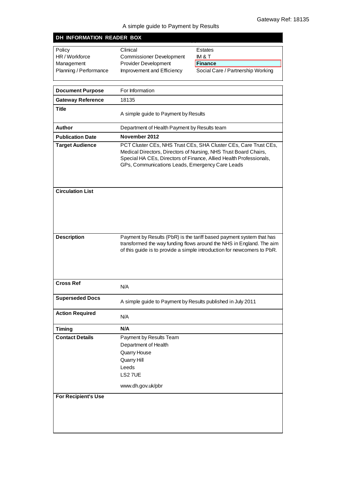#### A simple guide to Payment by Results

|  |  |  | DH INFORMATION READER BOX |
|--|--|--|---------------------------|
|--|--|--|---------------------------|

| Policy                 | Clinical                        | Estates                           |
|------------------------|---------------------------------|-----------------------------------|
| HR / Workforce         | <b>Commissioner Development</b> | IM & T                            |
| Management             | <b>Provider Development</b>     | <b>Finance</b>                    |
| Planning / Performance | Improvement and Efficiency      | Social Care / Partnership Working |
|                        |                                 |                                   |

| <b>Document Purpose</b>  | For Information                                                                                                                                                                                                                                               |
|--------------------------|---------------------------------------------------------------------------------------------------------------------------------------------------------------------------------------------------------------------------------------------------------------|
| <b>Gateway Reference</b> | 18135                                                                                                                                                                                                                                                         |
| <b>Title</b>             | A simple guide to Payment by Results                                                                                                                                                                                                                          |
| <b>Author</b>            | Department of Health Payment by Results team                                                                                                                                                                                                                  |
| <b>Publication Date</b>  | November 2012                                                                                                                                                                                                                                                 |
| <b>Target Audience</b>   | PCT Cluster CEs, NHS Trust CEs, SHA Cluster CEs, Care Trust CEs,<br>Medical Directors, Directors of Nursing, NHS Trust Board Chairs,<br>Special HA CEs, Directors of Finance, Allied Health Professionals,<br>GPs, Communications Leads, Emergency Care Leads |
| <b>Circulation List</b>  |                                                                                                                                                                                                                                                               |
| <b>Description</b>       | Payment by Results (PbR) is the tariff based payment system that has<br>transformed the way funding flows around the NHS in England. The aim<br>of this guide is to provide a simple introduction for newcomers to PbR.                                       |
| <b>Cross Ref</b>         | N/A                                                                                                                                                                                                                                                           |
| <b>Superseded Docs</b>   | A simple guide to Payment by Results published in July 2011                                                                                                                                                                                                   |
| <b>Action Required</b>   | N/A                                                                                                                                                                                                                                                           |
| <b>Timing</b>            | N/A                                                                                                                                                                                                                                                           |
| <b>Contact Details</b>   | Payment by Results Team<br>Department of Health<br>Quarry House<br>Quarry Hill<br>Leeds<br>LS27UE<br>www.dh.gov.uk/pbr                                                                                                                                        |
| For Recipient's Use      |                                                                                                                                                                                                                                                               |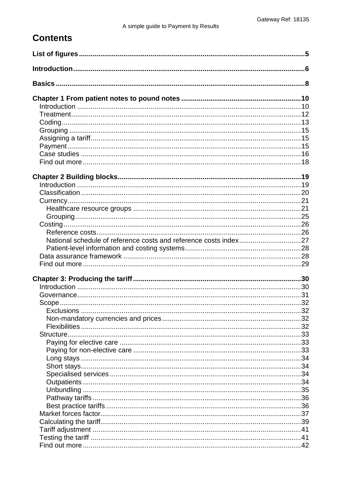# **Contents**

| National schedule of reference costs and reference costs index27 |  |
|------------------------------------------------------------------|--|
|                                                                  |  |
|                                                                  |  |
|                                                                  |  |
|                                                                  |  |
|                                                                  |  |
|                                                                  |  |
|                                                                  |  |
|                                                                  |  |
|                                                                  |  |
|                                                                  |  |
|                                                                  |  |
|                                                                  |  |
|                                                                  |  |
|                                                                  |  |
|                                                                  |  |
|                                                                  |  |
|                                                                  |  |
|                                                                  |  |
|                                                                  |  |
|                                                                  |  |
|                                                                  |  |
|                                                                  |  |
|                                                                  |  |
|                                                                  |  |
|                                                                  |  |
|                                                                  |  |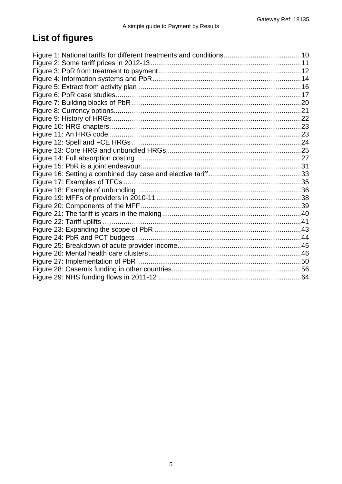# <span id="page-4-0"></span>**List of figures**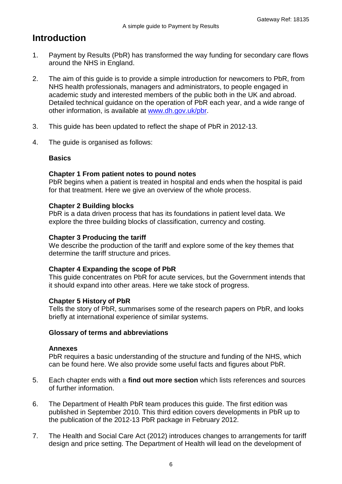# <span id="page-5-0"></span>**Introduction**

- 1. Payment by Results (PbR) has transformed the way funding for secondary care flows around the NHS in England.
- 2. The aim of this guide is to provide a simple introduction for newcomers to PbR, from NHS health professionals, managers and administrators, to people engaged in academic study and interested members of the public both in the UK and abroad. Detailed technical guidance on the operation of PbR each year, and a wide range of other information, is available at [www.dh.gov.uk/pbr.](http://www.dh.gov.uk/pbr)
- 3. This guide has been updated to reflect the shape of PbR in 2012-13.
- 4. The guide is organised as follows:

#### **Basics**

#### **Chapter 1 From patient notes to pound notes**

PbR begins when a patient is treated in hospital and ends when the hospital is paid for that treatment. Here we give an overview of the whole process.

#### **Chapter 2 Building blocks**

PbR is a data driven process that has its foundations in patient level data. We explore the three building blocks of classification, currency and costing.

#### **Chapter 3 Producing the tariff**

We describe the production of the tariff and explore some of the key themes that determine the tariff structure and prices.

#### **Chapter 4 Expanding the scope of PbR**

This guide concentrates on PbR for acute services, but the Government intends that it should expand into other areas. Here we take stock of progress.

#### **Chapter 5 History of PbR**

Tells the story of PbR, summarises some of the research papers on PbR, and looks briefly at international experience of similar systems.

#### **Glossary of terms and abbreviations**

#### **Annexes**

PbR requires a basic understanding of the structure and funding of the NHS, which can be found here. We also provide some useful facts and figures about PbR.

- 5. Each chapter ends with a **find out more section** which lists references and sources of further information.
- 6. The Department of Health PbR team produces this guide. The first edition was published in September 2010. This third edition covers developments in PbR up to the publication of the 2012-13 PbR package in February 2012.
- 7. The Health and Social Care Act (2012) introduces changes to arrangements for tariff design and price setting. The Department of Health will lead on the development of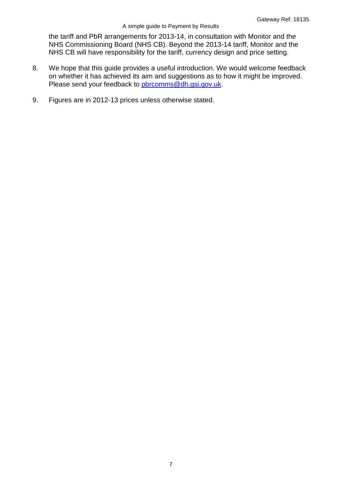the tariff and PbR arrangements for 2013-14, in consultation with Monitor and the NHS Commissioning Board (NHS CB). Beyond the 2013-14 tariff, Monitor and the NHS CB will have responsibility for the tariff, currency design and price setting.

- 8. We hope that this guide provides a useful introduction. We would welcome feedback on whether it has achieved its aim and suggestions as to how it might be improved. Please send your feedback to [pbrcomms@dh.gsi.gov.uk.](mailto:pbrcomms@dh.gsi.gov.uk)
- 9. Figures are in 2012-13 prices unless otherwise stated.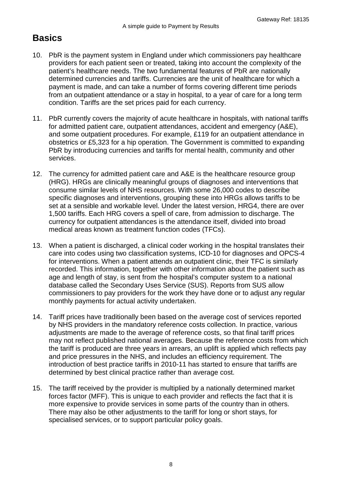# <span id="page-7-0"></span>**Basics**

- 10. PbR is the payment system in England under which commissioners pay healthcare providers for each patient seen or treated, taking into account the complexity of the patient's healthcare needs. The two fundamental features of PbR are nationally determined currencies and tariffs. Currencies are the unit of healthcare for which a payment is made, and can take a number of forms covering different time periods from an outpatient attendance or a stay in hospital, to a year of care for a long term condition. Tariffs are the set prices paid for each currency.
- 11. PbR currently covers the majority of acute healthcare in hospitals, with national tariffs for admitted patient care, outpatient attendances, accident and emergency (A&E), and some outpatient procedures. For example, £119 for an outpatient attendance in obstetrics or £5,323 for a hip operation. The Government is committed to expanding PbR by introducing currencies and tariffs for mental health, community and other services.
- 12. The currency for admitted patient care and A&E is the healthcare resource group (HRG). HRGs are clinically meaningful groups of diagnoses and interventions that consume similar levels of NHS resources. With some 26,000 codes to describe specific diagnoses and interventions, grouping these into HRGs allows tariffs to be set at a sensible and workable level. Under the latest version, HRG4, there are over 1,500 tariffs. Each HRG covers a spell of care, from admission to discharge. The currency for outpatient attendances is the attendance itself, divided into broad medical areas known as treatment function codes (TFCs).
- 13. When a patient is discharged, a clinical coder working in the hospital translates their care into codes using two classification systems, ICD-10 for diagnoses and OPCS-4 for interventions. When a patient attends an outpatient clinic, their TFC is similarly recorded. This information, together with other information about the patient such as age and length of stay, is sent from the hospital's computer system to a national database called the Secondary Uses Service (SUS). Reports from SUS allow commissioners to pay providers for the work they have done or to adjust any regular monthly payments for actual activity undertaken.
- 14. Tariff prices have traditionally been based on the average cost of services reported by NHS providers in the mandatory reference costs collection. In practice, various adjustments are made to the average of reference costs, so that final tariff prices may not reflect published national averages. Because the reference costs from which the tariff is produced are three years in arrears, an uplift is applied which reflects pay and price pressures in the NHS, and includes an efficiency requirement. The introduction of best practice tariffs in 2010-11 has started to ensure that tariffs are determined by best clinical practice rather than average cost.
- 15. The tariff received by the provider is multiplied by a nationally determined market forces factor (MFF). This is unique to each provider and reflects the fact that it is more expensive to provide services in some parts of the country than in others. There may also be other adjustments to the tariff for long or short stays, for specialised services, or to support particular policy goals.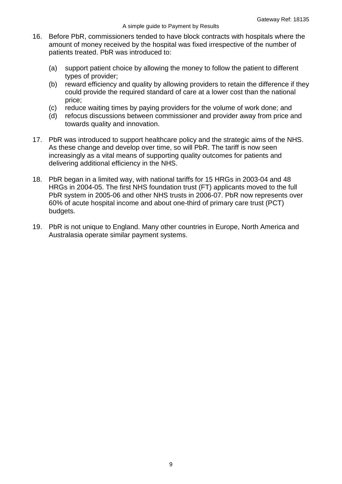- 16. Before PbR, commissioners tended to have block contracts with hospitals where the amount of money received by the hospital was fixed irrespective of the number of patients treated. PbR was introduced to:
	- (a) support patient choice by allowing the money to follow the patient to different types of provider;
	- (b) reward efficiency and quality by allowing providers to retain the difference if they could provide the required standard of care at a lower cost than the national price;
	- (c) reduce waiting times by paying providers for the volume of work done; and
	- (d) refocus discussions between commissioner and provider away from price and towards quality and innovation.
- 17. PbR was introduced to support healthcare policy and the strategic aims of the NHS. As these change and develop over time, so will PbR. The tariff is now seen increasingly as a vital means of supporting quality outcomes for patients and delivering additional efficiency in the NHS.
- 18. PbR began in a limited way, with national tariffs for 15 HRGs in 2003-04 and 48 HRGs in 2004-05. The first NHS foundation trust (FT) applicants moved to the full PbR system in 2005-06 and other NHS trusts in 2006-07. PbR now represents over 60% of acute hospital income and about one-third of primary care trust (PCT) budgets.
- 19. PbR is not unique to England. Many other countries in Europe, North America and Australasia operate similar payment systems.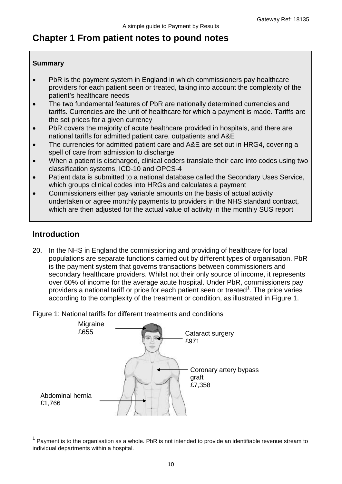# <span id="page-9-0"></span>**Chapter 1 From patient notes to pound notes**

#### **Summary**

- PbR is the payment system in England in which commissioners pay healthcare providers for each patient seen or treated, taking into account the complexity of the patient's healthcare needs
- The two fundamental features of PbR are nationally determined currencies and tariffs. Currencies are the unit of healthcare for which a payment is made. Tariffs are the set prices for a given currency
- PbR covers the majority of acute healthcare provided in hospitals, and there are national tariffs for admitted patient care, outpatients and A&E
- The currencies for admitted patient care and A&E are set out in HRG4, covering a spell of care from admission to discharge
- When a patient is discharged, clinical coders translate their care into codes using two classification systems, ICD-10 and OPCS-4
- Patient data is submitted to a national database called the Secondary Uses Service, which groups clinical codes into HRGs and calculates a payment
- Commissioners either pay variable amounts on the basis of actual activity undertaken or agree monthly payments to providers in the NHS standard contract, which are then adjusted for the actual value of activity in the monthly SUS report

## <span id="page-9-1"></span>**Introduction**

 $\overline{a}$ 

20. In the NHS in England the commissioning and providing of healthcare for local populations are separate functions carried out by different types of organisation. PbR is the payment system that governs transactions between commissioners and secondary healthcare providers. Whilst not their only source of income, it represents over 60% of income for the average acute hospital. Under PbR, commissioners pay providers a national tariff or price for each patient seen or treated<sup>[1](#page-0-0)</sup>. The price varies according to the complexity of the treatment or condition, as illustrated in [Figure 1.](#page-9-2)

<span id="page-9-2"></span>Figure 1: National tariffs for different treatments and conditions



<span id="page-9-3"></span> $1$  Payment is to the organisation as a whole. PbR is not intended to provide an identifiable revenue stream to individual departments within a hospital.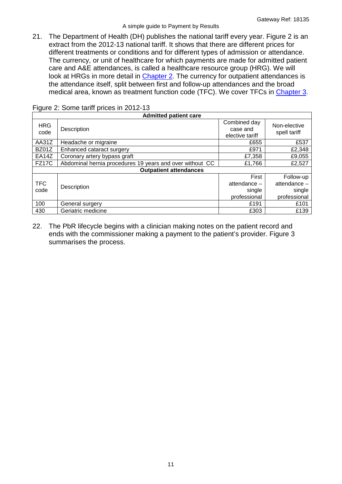#### A simple guide to Payment by Results

21. The Department of Health (DH) publishes the national tariff every year. [Figure 2](#page-10-0) is an extract from the 2012-13 national tariff. It shows that there are different prices for different treatments or conditions and for different types of admission or attendance. The currency, or unit of healthcare for which payments are made for admitted patient care and A&E attendances, is called a healthcare resource group (HRG). We will look at HRGs in more detail in [Chapter 2.](#page-17-1) The currency for outpatient attendances is the attendance itself, split between first and follow-up attendances and the broad medical area, known as treatment function code (TFC). We cover TFCs in [Chapter 3.](#page-28-1)

| <b>Admitted patient care</b> |                                                          |                                             |                              |  |  |  |
|------------------------------|----------------------------------------------------------|---------------------------------------------|------------------------------|--|--|--|
| <b>HRG</b><br>code           | Description                                              | Combined day<br>case and<br>elective tariff | Non-elective<br>spell tariff |  |  |  |
| AA31Z                        | Headache or migraine                                     | £655                                        | £537                         |  |  |  |
| BZ01Z                        | Enhanced cataract surgery                                | £971                                        | £2,348                       |  |  |  |
| <b>EA14Z</b>                 | Coronary artery bypass graft                             | £7,358                                      | £9,055                       |  |  |  |
| <b>FZ17C</b>                 | Abdominal hernia procedures 19 years and over without CC | £1,766                                      | £2,527                       |  |  |  |
|                              | <b>Outpatient attendances</b>                            |                                             |                              |  |  |  |
|                              |                                                          | First                                       | Follow-up                    |  |  |  |
| <b>TFC</b><br>code           | Description                                              | attendance -                                | attendance -                 |  |  |  |
|                              |                                                          | single                                      | single                       |  |  |  |
|                              |                                                          | professional                                | professional                 |  |  |  |
| 100                          | General surgery                                          | £191                                        | £101                         |  |  |  |
| 430                          | Geriatric medicine                                       | £303                                        | £139                         |  |  |  |

#### <span id="page-10-0"></span>Figure 2: Some tariff prices in 2012-13

22. The PbR lifecycle begins with a clinician making notes on the patient record and ends with the commissioner making a payment to the patient's provider. [Figure 3](#page-11-1) summarises the process.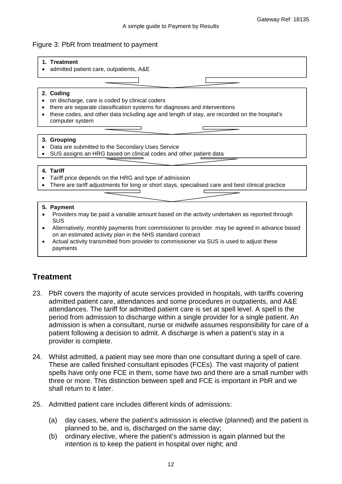#### <span id="page-11-1"></span>Figure 3: PbR from treatment to payment

- **1. Treatment**
- admitted patient care, outpatients, A&E
- **2. Coding**
- on discharge, care is coded by clinical coders
- there are separate classification systems for diagnoses and interventions
- these codes, and other data including age and length of stay, are recorded on the hospital's computer system

#### **3. Grouping**

- Data are submitted to the Secondary Uses Service
- SUS assigns an HRG based on clinical codes and other patient data
- **4. Tariff**
- Tariff price depends on the HRG and type of admission
- There are tariff adjustments for long or short stays, specialised care and best clinical practice

#### **5. Payment**

- Providers may be paid a variable amount based on the activity undertaken as reported through SUS
- Alternatively, monthly payments from commissioner to provider may be agreed in advance based on an estimated activity plan in the NHS standard contract

 $\Gamma$ 

• Actual activity transmitted from provider to commissioner via SUS is used to adjust these payments

## <span id="page-11-0"></span>**Treatment**

- 23. PbR covers the majority of acute services provided in hospitals, with tariffs covering admitted patient care, attendances and some procedures in outpatients, and A&E attendances. The tariff for admitted patient care is set at spell level. A spell is the period from admission to discharge within a single provider for a single patient. An admission is when a consultant, nurse or midwife assumes responsibility for care of a patient following a decision to admit. A discharge is when a patient's stay in a provider is complete.
- 24. Whilst admitted, a patient may see more than one consultant during a spell of care. These are called finished consultant episodes (FCEs). The vast majority of patient spells have only one FCE in them, some have two and there are a small number with three or more. This distinction between spell and FCE is important in PbR and we shall return to it later.
- 25. Admitted patient care includes different kinds of admissions:
	- (a) day cases, where the patient's admission is elective (planned) and the patient is planned to be, and is, discharged on the same day;
	- (b) ordinary elective, where the patient's admission is again planned but the intention is to keep the patient in hospital over night; and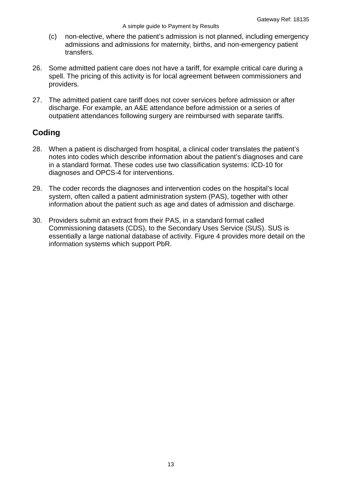- (c) non-elective, where the patient's admission is not planned, including emergency admissions and admissions for maternity, births, and non-emergency patient transfers.
- 26. Some admitted patient care does not have a tariff, for example critical care during a spell. The pricing of this activity is for local agreement between commissioners and providers.
- 27. The admitted patient care tariff does not cover services before admission or after discharge. For example, an A&E attendance before admission or a series of outpatient attendances following surgery are reimbursed with separate tariffs.

## <span id="page-12-0"></span>**Coding**

- 28. When a patient is discharged from hospital, a clinical coder translates the patient's notes into codes which describe information about the patient's diagnoses and care in a standard format. These codes use two classification systems: ICD-10 for diagnoses and OPCS-4 for interventions.
- 29. The coder records the diagnoses and intervention codes on the hospital's local system, often called a patient administration system (PAS), together with other information about the patient such as age and dates of admission and discharge.
- 30. Providers submit an extract from their PAS, in a standard format called Commissioning datasets (CDS), to the Secondary Uses Service (SUS). SUS is essentially a large national database of activity. [Figure 4](#page-13-0) provides more detail on the information systems which support PbR.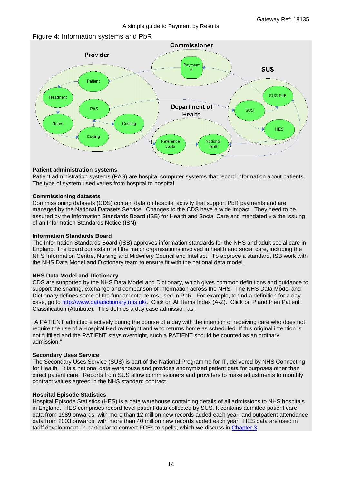#### A simple guide to Payment by Results

#### <span id="page-13-0"></span>Figure 4: Information systems and PbR



#### **Patient administration systems**

Patient administration systems (PAS) are hospital computer systems that record information about patients. The type of system used varies from hospital to hospital.

#### **Commissioning datasets**

Commissioning datasets (CDS) contain data on hospital activity that support PbR payments and are managed by the National Datasets Service. Changes to the CDS have a wide impact. They need to be assured by the Information Standards Board (ISB) for Health and Social Care and mandated via the issuing of an Information Standards Notice (ISN).

#### **Information Standards Board**

The Information Standards Board (ISB) approves information standards for the NHS and adult social care in England. The board consists of all the major organisations involved in health and social care, including the NHS Information Centre, Nursing and Midwifery Council and Intellect. To approve a standard, ISB work with the NHS Data Model and Dictionary team to ensure fit with the national data model.

#### **NHS Data Model and Dictionary**

CDS are supported by the NHS Data Model and Dictionary, which gives common definitions and guidance to support the sharing, exchange and comparison of information across the NHS. The NHS Data Model and Dictionary defines some of the fundamental terms used in PbR. For example, to find a definition for a day case, go to [http://www.datadictionary.nhs.uk/.](http://www.datadictionary.nhs.uk/) Click on All Items Index (A-Z). Click on P and then Patient Classification (Attribute). This defines a day case admission as:

"A PATIENT admitted electively during the course of a day with the intention of receiving care who does not require the use of a Hospital Bed overnight and who returns home as scheduled. If this original intention is not fulfilled and the PATIENT stays overnight, such a PATIENT should be counted as an ordinary admission."

#### **Secondary Uses Service**

The Secondary Uses Service (SUS) is part of the National Programme for IT, delivered by NHS Connecting for Health. It is a national data warehouse and provides anonymised patient data for purposes other than direct patient care. Reports from SUS allow commissioners and providers to make adjustments to monthly contract values agreed in the NHS standard contract.

#### **Hospital Episode Statistics**

Hospital Episode Statistics (HES) is a data warehouse containing details of all admissions to NHS hospitals in England. HES comprises record-level patient data collected by SUS. It contains admitted patient care data from 1989 onwards, with more than 12 million new records added each year, and outpatient attendance data from 2003 onwards, with more than 40 million new records added each year. HES data are used in tariff development, in particular to convert FCEs to spells, which we discuss in [Chapter 3.](#page-28-2)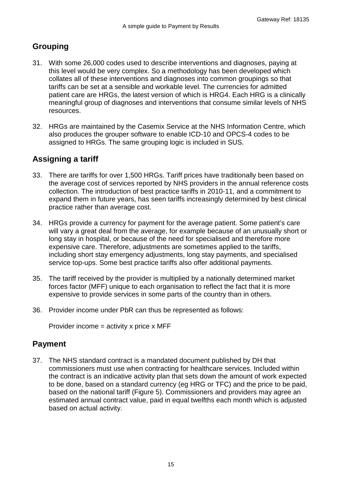# <span id="page-14-0"></span>**Grouping**

- 31. With some 26,000 codes used to describe interventions and diagnoses, paying at this level would be very complex. So a methodology has been developed which collates all of these interventions and diagnoses into common groupings so that tariffs can be set at a sensible and workable level. The currencies for admitted patient care are HRGs, the latest version of which is HRG4. Each HRG is a clinically meaningful group of diagnoses and interventions that consume similar levels of NHS resources.
- 32. HRGs are maintained by the Casemix Service at the NHS Information Centre, which also produces the grouper software to enable ICD-10 and OPCS-4 codes to be assigned to HRGs. The same grouping logic is included in SUS.

## <span id="page-14-1"></span>**Assigning a tariff**

- 33. There are tariffs for over 1,500 HRGs. Tariff prices have traditionally been based on the average cost of services reported by NHS providers in the annual reference costs collection. The introduction of best practice tariffs in 2010-11, and a commitment to expand them in future years, has seen tariffs increasingly determined by best clinical practice rather than average cost.
- 34. HRGs provide a currency for payment for the average patient. Some patient's care will vary a great deal from the average, for example because of an unusually short or long stay in hospital, or because of the need for specialised and therefore more expensive care. Therefore, adjustments are sometimes applied to the tariffs, including short stay emergency adjustments, long stay payments, and specialised service top-ups. Some best practice tariffs also offer additional payments.
- 35. The tariff received by the provider is multiplied by a nationally determined market forces factor (MFF) unique to each organisation to reflect the fact that it is more expensive to provide services in some parts of the country than in others.
- 36. Provider income under PbR can thus be represented as follows:

Provider income = activity x price x MFF

## <span id="page-14-2"></span>**Payment**

37. The NHS standard contract is a mandated document published by DH that commissioners must use when contracting for healthcare services. Included within the contract is an indicative activity plan that sets down the amount of work expected to be done, based on a standard currency (eg HRG or TFC) and the price to be paid, based on the national tariff [\(Figure 5\)](#page-15-1). Commissioners and providers may agree an estimated annual contract value, paid in equal twelfths each month which is adjusted based on actual activity.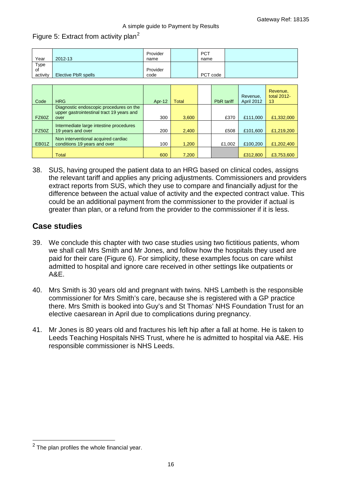#### A simple guide to Payment by Results

#### <span id="page-15-1"></span>Figure 5: Extract from activity plan<sup>[2](#page-9-3)</sup>

| Year       | 2012-13             | Provider<br>name | <b>PCT</b><br>name |  |
|------------|---------------------|------------------|--------------------|--|
| Type<br>0f |                     | Provider         |                    |  |
| activity   | Elective PbR spells | code             | PCT code           |  |

| Code         | <b>HRG</b>                                                                                   | Apr-12 | Total | PbR tariff | Revenue,<br><b>April 2012</b> | Revenue,<br>total 2012-<br>13 |
|--------------|----------------------------------------------------------------------------------------------|--------|-------|------------|-------------------------------|-------------------------------|
| <b>FZ60Z</b> | Diagnostic endoscopic procedures on the<br>upper gastrointestinal tract 19 years and<br>over | 300    | 3,600 | £370       | £111,000                      | £1,332,000                    |
| <b>FZ50Z</b> | Intermediate large intestine procedures<br>19 years and over                                 | 200    | 2,400 | £508       | £101.600                      | £1,219,200                    |
| EB01Z        | Non interventional acquired cardiac<br>conditions 19 years and over                          | 100    | 1,200 | £1,002     | £100,200                      | £1,202,400                    |
|              | <b>Total</b>                                                                                 | 600    | 7,200 |            | £312,800                      | £3,753,600                    |

38. SUS, having grouped the patient data to an HRG based on clinical codes, assigns the relevant tariff and applies any pricing adjustments. Commissioners and providers extract reports from SUS, which they use to compare and financially adjust for the difference between the actual value of activity and the expected contract value. This could be an additional payment from the commissioner to the provider if actual is greater than plan, or a refund from the provider to the commissioner if it is less.

### <span id="page-15-0"></span>**Case studies**

- 39. We conclude this chapter with two case studies using two fictitious patients, whom we shall call Mrs Smith and Mr Jones, and follow how the hospitals they used are paid for their care [\(Figure 6\)](#page-16-0). For simplicity, these examples focus on care whilst admitted to hospital and ignore care received in other settings like outpatients or A&E.
- 40. Mrs Smith is 30 years old and pregnant with twins. NHS Lambeth is the responsible commissioner for Mrs Smith's care, because she is registered with a GP practice there. Mrs Smith is booked into Guy's and St Thomas' NHS Foundation Trust for an elective caesarean in April due to complications during pregnancy.
- 41. Mr Jones is 80 years old and fractures his left hip after a fall at home. He is taken to Leeds Teaching Hospitals NHS Trust, where he is admitted to hospital via A&E. His responsible commissioner is NHS Leeds.

<span id="page-15-2"></span> $2$  The plan profiles the whole financial year.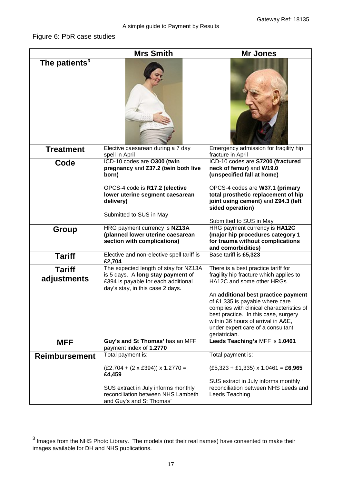<span id="page-16-0"></span>Figure 6: PbR case studies

|                              | <b>Mrs Smith</b>                                                                                                                                                | <b>Mr Jones</b>                                                                                                                                                                                                                                                                                                                                                         |
|------------------------------|-----------------------------------------------------------------------------------------------------------------------------------------------------------------|-------------------------------------------------------------------------------------------------------------------------------------------------------------------------------------------------------------------------------------------------------------------------------------------------------------------------------------------------------------------------|
| The patients <sup>3</sup>    |                                                                                                                                                                 |                                                                                                                                                                                                                                                                                                                                                                         |
| <b>Treatment</b>             | Elective caesarean during a 7 day<br>spell in April                                                                                                             | Emergency admission for fragility hip<br>fracture in April                                                                                                                                                                                                                                                                                                              |
| Code                         | ICD-10 codes are O300 (twin<br>pregnancy and Z37.2 (twin both live<br>born)<br>OPCS-4 code is R17.2 (elective<br>lower uterine segment caesarean<br>delivery)   | ICD-10 codes are S7200 (fractured<br>neck of femur) and W19.0<br>(unspecified fall at home)<br>OPCS-4 codes are W37.1 (primary<br>total prosthetic replacement of hip<br>joint using cement) and Z94.3 (left                                                                                                                                                            |
|                              | Submitted to SUS in May                                                                                                                                         | sided operation)<br>Submitted to SUS in May                                                                                                                                                                                                                                                                                                                             |
| Group                        | HRG payment currency is NZ13A<br>(planned lower uterine caesarean<br>section with complications)                                                                | HRG payment currency is HA12C<br>(major hip procedures category 1<br>for trauma without complications<br>and comorbidities)                                                                                                                                                                                                                                             |
| <b>Tariff</b>                | Elective and non-elective spell tariff is<br>£2,704                                                                                                             | Base tariff is £5,323                                                                                                                                                                                                                                                                                                                                                   |
| <b>Tariff</b><br>adjustments | The expected length of stay for NZ13A<br>is 5 days. A long stay payment of<br>£394 is payable for each additional<br>day's stay, in this case 2 days.           | There is a best practice tariff for<br>fragility hip fracture which applies to<br>HA12C and some other HRGs.<br>An additional best practice payment<br>of £1,335 is payable where care<br>complies with clinical characteristics of<br>best practice. In this case, surgery<br>within 36 hours of arrival in A&E,<br>under expert care of a consultant<br>geriatrician. |
| <b>MFF</b>                   | Guy's and St Thomas' has an MFF<br>payment index of 1.2770                                                                                                      | Leeds Teaching's MFF is 1.0461                                                                                                                                                                                                                                                                                                                                          |
| <b>Reimbursement</b>         | Total payment is:                                                                                                                                               | Total payment is:                                                                                                                                                                                                                                                                                                                                                       |
|                              | $(E2,704 + (2 \times E394)) \times 1.2770 =$<br>£4,459<br>SUS extract in July informs monthly<br>reconciliation between NHS Lambeth<br>and Guy's and St Thomas' | $(E5,323 + E1,335) \times 1.0461 = \text{\textsterling}6,965$<br>SUS extract in July informs monthly<br>reconciliation between NHS Leeds and<br>Leeds Teaching                                                                                                                                                                                                          |

<span id="page-16-1"></span> <sup>3</sup> Images from the NHS Photo Library. The models (not their real names) have consented to make their images available for DH and NHS publications.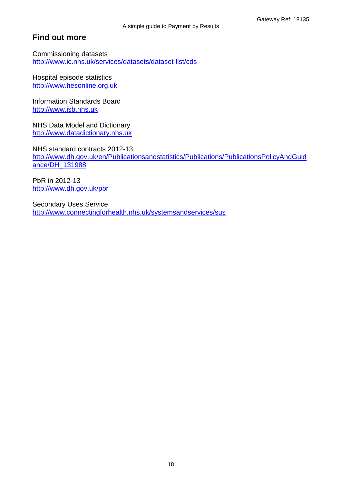## <span id="page-17-0"></span>**Find out more**

Commissioning datasets <http://www.ic.nhs.uk/services/datasets/dataset-list/cds>

Hospital episode statistics [http://www.hesonline.org.uk](http://www.hesonline.org.uk/Ease/servlet/ContentServer?siteID=1937&categoryID=537)

Information Standards Board [http://www.isb.nhs.uk](http://www.isb.nhs.uk/)

NHS Data Model and Dictionary [http://www.datadictionary.nhs.uk](http://www.datadictionary.nhs.uk/)

NHS standard contracts 2012-13 [http://www.dh.gov.uk/en/Publicationsandstatistics/Publications/PublicationsPolicyAndGuid](http://www.dh.gov.uk/en/Publicationsandstatistics/Publications/PublicationsPolicyAndGuidance/DH_131988) [ance/DH\\_131988](http://www.dh.gov.uk/en/Publicationsandstatistics/Publications/PublicationsPolicyAndGuidance/DH_131988)

PbR in 2012-13 <http://www.dh.gov.uk/pbr>

<span id="page-17-2"></span><span id="page-17-1"></span>Secondary Uses Service <http://www.connectingforhealth.nhs.uk/systemsandservices/sus>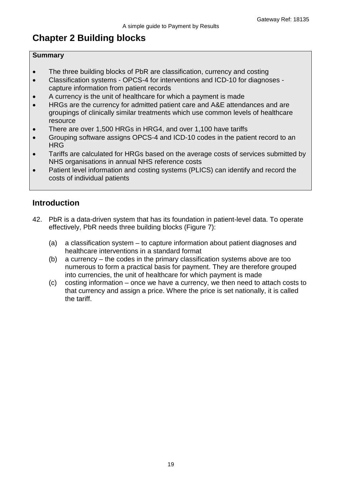# <span id="page-18-0"></span>**Chapter 2 Building blocks**

#### **Summary**

- The three building blocks of PbR are classification, currency and costing
- Classification systems OPCS-4 for interventions and ICD-10 for diagnoses capture information from patient records
- A currency is the unit of healthcare for which a payment is made
- HRGs are the currency for admitted patient care and A&E attendances and are groupings of clinically similar treatments which use common levels of healthcare resource
- There are over 1,500 HRGs in HRG4, and over 1,100 have tariffs
- Grouping software assigns OPCS-4 and ICD-10 codes in the patient record to an HRG
- Tariffs are calculated for HRGs based on the average costs of services submitted by NHS organisations in annual NHS reference costs
- Patient level information and costing systems (PLICS) can identify and record the costs of individual patients

## <span id="page-18-1"></span>**Introduction**

- 42. PbR is a data-driven system that has its foundation in patient-level data. To operate effectively, PbR needs three building blocks [\(Figure 7\)](#page-19-1):
	- (a) a classification system to capture information about patient diagnoses and healthcare interventions in a standard format
	- (b) a currency the codes in the primary classification systems above are too numerous to form a practical basis for payment. They are therefore grouped into currencies, the unit of healthcare for which payment is made
	- (c) costing information once we have a currency, we then need to attach costs to that currency and assign a price. Where the price is set nationally, it is called the tariff.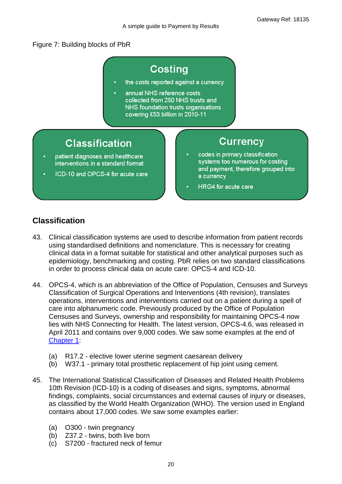#### <span id="page-19-1"></span>Figure 7: Building blocks of PbR

# **Costing**

- the costs reported against a currency
- annual NHS reference costs collected from 250 NHS trusts and NHS foundation trusts organisations covering £53 billion in 2010-11

# **Classification**

- patient diagnoses and healthcare interventions in a standard format
- ICD-10 and OPCS-4 for acute care

# Currency

- codes in primary classification systems too numerous for costing and payment, therefore grouped into a currency
- HRG4 for acute care

## <span id="page-19-0"></span>**Classification**

- 43. Clinical classification systems are used to describe information from patient records using standardised definitions and nomenclature. This is necessary for creating clinical data in a format suitable for statistical and other analytical purposes such as epidemiology, benchmarking and costing. PbR relies on two standard classifications in order to process clinical data on acute care: OPCS-4 and ICD-10.
- 44. OPCS-4, which is an abbreviation of the Office of Population, Censuses and Surveys Classification of Surgical Operations and Interventions (4th revision), translates operations, interventions and interventions carried out on a patient during a spell of care into alphanumeric code. Previously produced by the Office of Population Censuses and Surveys, ownership and responsibility for maintaining OPCS-4 now lies with NHS Connecting for Health. The latest version, OPCS-4.6, was released in April 2011 and contains over 9,000 codes. We saw some examples at the end of [Chapter 1:](#page-15-0)
	- (a) R17.2 elective lower uterine segment caesarean delivery
	- (b) W37.1 primary total prosthetic replacement of hip joint using cement.
- 45. The International Statistical Classification of Diseases and Related Health Problems 10th Revision (ICD-10) is a coding of diseases and signs, symptoms, abnormal findings, complaints, social circumstances and external causes of injury or diseases, as classified by the World Health Organization (WHO). The version used in England contains about 17,000 codes. We saw some examples earlier:
	- (a) O300 twin pregnancy
	- (b) Z37.2 twins, both live born
	- (c) S7200 fractured neck of femur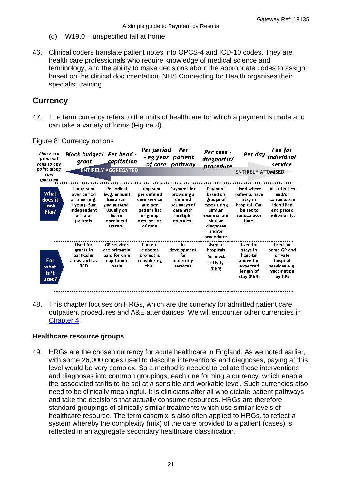- (d) W19.0 unspecified fall at home
- 46. Clinical coders translate patient notes into OPCS-4 and ICD-10 codes. They are health care professionals who require knowledge of medical science and terminology, and the ability to make decisions about the appropriate codes to assign based on the clinical documentation. NHS Connecting for Health organises their specialist training.

## <span id="page-20-0"></span>**Currency**

47. The term currency refers to the units of healthcare for which a payment is made and can take a variety of forms [\(Figure 8\)](#page-20-2).

| <b>There</b> are<br>pros and<br>cons to any<br>point along | <b>Block budget/</b><br>grant                                                                   | Per head -<br>capitation                                                                                 | Per period                                                                                               | Per<br>- eg year patient<br>of care pathway                                                | Per case -<br>diagnostic/<br>procedure                                                                                     | Per dav                                                                                      | Fee for<br>individual<br>service                                                         |
|------------------------------------------------------------|-------------------------------------------------------------------------------------------------|----------------------------------------------------------------------------------------------------------|----------------------------------------------------------------------------------------------------------|--------------------------------------------------------------------------------------------|----------------------------------------------------------------------------------------------------------------------------|----------------------------------------------------------------------------------------------|------------------------------------------------------------------------------------------|
| this<br>spectrum                                           |                                                                                                 | <b>ENTIRELY AGGREGATED</b>                                                                               |                                                                                                          |                                                                                            |                                                                                                                            | <b>ENTIRELY ATOMISED</b>                                                                     |                                                                                          |
| What<br>does it<br>look<br>like?                           | Lump sum<br>over period<br>of time (e.g.<br>1 year). Sum<br>independent<br>of no of<br>patients | Periodical<br>(e.g. annual)<br>lump sum<br>per patient.<br>Usually on<br>list or<br>enrolment<br>system. | Lump sum<br>per defined<br>care service<br>and per<br>patient list<br>or group<br>over period<br>of time | Payment for<br>providing a<br>defined<br>pathways of<br>care with<br>multiple<br>episodes. | Payment<br>based on<br>groups of<br>cases using<br>similar<br>resource and<br>similar<br>diagnoses<br>and/or<br>procedures | Used where<br>patients have<br>stay in<br>hospital. Can<br>be set to<br>reduce over<br>time. | All activities<br>and/or<br>contacts are<br>identified<br>and priced<br>individually.    |
| <b>For</b><br>what<br>is it<br>used?                       | Used for<br>grants in<br>particular<br>areas such as<br><b>R&amp;D</b>                          | <b>GP</b> services<br>are primarily<br>paid for on a<br>capitation<br><b>basis</b>                       | Current<br>diabetes<br>project is<br>considering<br>this.                                                | in.<br>development<br>for<br>maternity<br>services                                         | Used in<br>hospitals<br>for most<br>activity<br>(PbR)                                                                      | Used for<br>stays in<br>hospital<br>above the<br>expected<br>length of<br>stay (PbR)         | Used for<br>some GP and<br>private<br>hospital<br>services e.g.<br>vaccination<br>by GPs |

<span id="page-20-2"></span>Figure 8: Currency options

48. This chapter focuses on HRGs, which are the currency for admitted patient care, outpatient procedures and A&E attendances. We will encounter other currencies in [Chapter 4.](#page-41-1)

#### <span id="page-20-1"></span>**Healthcare resource groups**

49. HRGs are the chosen currency for acute healthcare in England. As we noted earlier, with some 26,000 codes used to describe interventions and diagnoses, paying at this level would be very complex. So a method is needed to collate these interventions and diagnoses into common groupings, each one forming a currency, which enable the associated tariffs to be set at a sensible and workable level. Such currencies also need to be clinically meaningful. It is clinicians after all who dictate patient pathways and take the decisions that actually consume resources. HRGs are therefore standard groupings of clinically similar treatments which use similar levels of healthcare resource. The term casemix is also often applied to HRGs, to reflect a system whereby the complexity (mix) of the care provided to a patient (cases) is reflected in an aggregate secondary healthcare classification.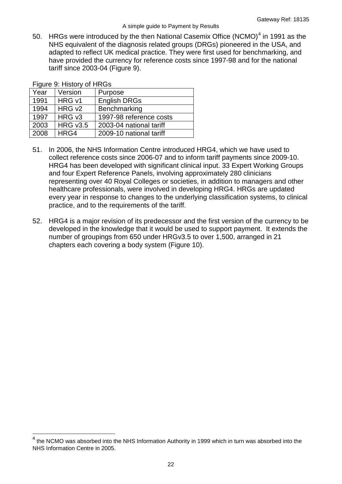50. HRGs were introduced by the then National Casemix Office (NCMO)<sup>[4](#page-16-1)</sup> in 1991 as the NHS equivalent of the diagnosis related groups (DRGs) pioneered in the USA, and adapted to reflect UK medical practice. They were first used for benchmarking, and have provided the currency for reference costs since 1997-98 and for the national tariff since 2003-04 [\(Figure 9\)](#page-21-0).

| i iyult 9. History ol Hit Os |                    |                         |  |  |
|------------------------------|--------------------|-------------------------|--|--|
| Year                         | Version            | Purpose                 |  |  |
| 1991                         | HRG v1             | <b>English DRGs</b>     |  |  |
| 1994                         | HRG v <sub>2</sub> | Benchmarking            |  |  |
| 1997                         | HRG v3             | 1997-98 reference costs |  |  |
| 2003                         | <b>HRG v3.5</b>    | 2003-04 national tariff |  |  |
| 2008                         | HRG4               | 2009-10 national tariff |  |  |

<span id="page-21-0"></span>Figure 9: History of HRGs

- 51. In 2006, the NHS Information Centre introduced HRG4, which we have used to collect reference costs since 2006-07 and to inform tariff payments since 2009-10. HRG4 has been developed with significant clinical input. 33 Expert Working Groups and four Expert Reference Panels, involving approximately 280 clinicians representing over 40 Royal Colleges or societies, in addition to managers and other healthcare professionals, were involved in developing HRG4. HRGs are updated every year in response to changes to the underlying classification systems, to clinical practice, and to the requirements of the tariff.
- 52. HRG4 is a major revision of its predecessor and the first version of the currency to be developed in the knowledge that it would be used to support payment. It extends the number of groupings from 650 under HRGv3.5 to over 1,500, arranged in 21 chapters each covering a body system [\(Figure 10\)](#page-22-0).

<span id="page-21-1"></span><sup>&</sup>lt;sup>4</sup> the NCMO was absorbed into the NHS Information Authority in 1999 which in turn was absorbed into the NHS Information Centre in 2005.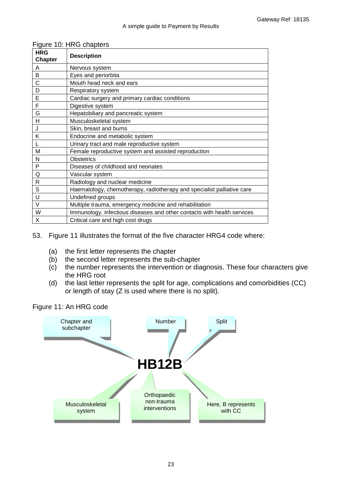| <b>HRG</b><br>Chapter | <b>Description</b>                                                      |
|-----------------------|-------------------------------------------------------------------------|
| A                     | Nervous system                                                          |
| B                     | Eyes and periorbita                                                     |
| C                     | Mouth head neck and ears                                                |
| D                     | Respiratory system                                                      |
| E                     | Cardiac surgery and primary cardiac conditions                          |
| F                     | Digestive system                                                        |
| G                     | Hepatobiliary and pancreatic system                                     |
| Н                     | Musculoskeletal system                                                  |
| J                     | Skin, breast and burns                                                  |
| Κ                     | Endocrine and metabolic system                                          |
|                       | Urinary tract and male reproductive system                              |
| M                     | Female reproductive system and assisted reproduction                    |
| N                     | <b>Obstetrics</b>                                                       |
| P                     | Diseases of childhood and neonates                                      |
| Q                     | Vascular system                                                         |
| R                     | Radiology and nuclear medicine                                          |
| S                     | Haematology, chemotherapy, radiotherapy and specialist palliative care  |
| U                     | Undefined groups                                                        |
| $\vee$                | Multiple trauma, emergency medicine and rehabilitation                  |
| W                     | Immunology, infectious diseases and other contacts with health services |
| X                     | Critical care and high cost drugs                                       |

#### <span id="page-22-0"></span>Figure 10: HRG chapters

53. [Figure 11](#page-22-1) illustrates the format of the five character HRG4 code where:

- (a) the first letter represents the chapter
- (b) the second letter represents the sub-chapter
- (c) the number represents the intervention or diagnosis. These four characters give the HRG root
- (d) the last letter represents the split for age, complications and comorbidities (CC) or length of stay (Z is used where there is no split).

#### <span id="page-22-1"></span>Figure 11: An HRG code

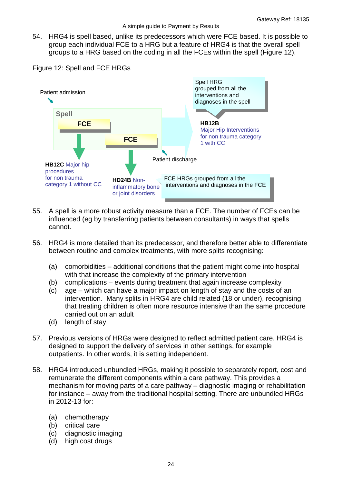54. HRG4 is spell based, unlike its predecessors which were FCE based. It is possible to group each individual FCE to a HRG but a feature of HRG4 is that the overall spell groups to a HRG based on the coding in all the FCEs within the spell [\(Figure 12\)](#page-23-0).



<span id="page-23-0"></span>Figure 12: Spell and FCE HRGs

- 55. A spell is a more robust activity measure than a FCE. The number of FCEs can be influenced (eg by transferring patients between consultants) in ways that spells cannot.
- 56. HRG4 is more detailed than its predecessor, and therefore better able to differentiate between routine and complex treatments, with more splits recognising:
	- (a) comorbidities additional conditions that the patient might come into hospital with that increase the complexity of the primary intervention
	- (b) complications events during treatment that again increase complexity
	- (c) age which can have a major impact on length of stay and the costs of an intervention. Many splits in HRG4 are child related (18 or under), recognising that treating children is often more resource intensive than the same procedure carried out on an adult
	- (d) length of stay.
- 57. Previous versions of HRGs were designed to reflect admitted patient care. HRG4 is designed to support the delivery of services in other settings, for example outpatients. In other words, it is setting independent.
- 58. HRG4 introduced unbundled HRGs, making it possible to separately report, cost and remunerate the different components within a care pathway. This provides a mechanism for moving parts of a care pathway – diagnostic imaging or rehabilitation for instance – away from the traditional hospital setting. There are unbundled HRGs in 2012-13 for:
	- (a) chemotherapy
	- (b) critical care
	- (c) diagnostic imaging
	- (d) high cost drugs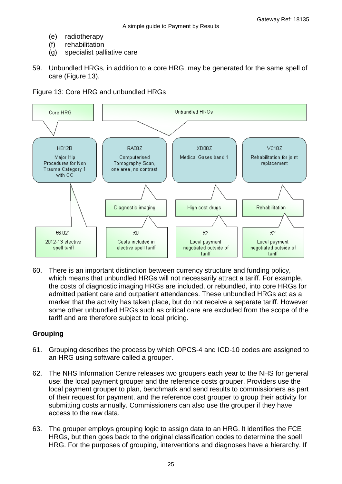- (e) radiotherapy
- (f) rehabilitation
- (g) specialist palliative care
- 59. Unbundled HRGs, in addition to a core HRG, may be generated for the same spell of care [\(Figure 13\)](#page-24-1).



<span id="page-24-1"></span>Figure 13: Core HRG and unbundled HRGs

60. There is an important distinction between currency structure and funding policy, which means that unbundled HRGs will not necessarily attract a tariff. For example, the costs of diagnostic imaging HRGs are included, or rebundled, into core HRGs for admitted patient care and outpatient attendances. These unbundled HRGs act as a marker that the activity has taken place, but do not receive a separate tariff. However some other unbundled HRGs such as critical care are excluded from the scope of the tariff and are therefore subject to local pricing.

#### <span id="page-24-0"></span>**Grouping**

- 61. Grouping describes the process by which OPCS-4 and ICD-10 codes are assigned to an HRG using software called a grouper.
- 62. The NHS Information Centre releases two groupers each year to the NHS for general use: the local payment grouper and the reference costs grouper. Providers use the local payment grouper to plan, benchmark and send results to commissioners as part of their request for payment, and the reference cost grouper to group their activity for submitting costs annually. Commissioners can also use the grouper if they have access to the raw data.
- 63. The grouper employs grouping logic to assign data to an HRG. lt identifies the FCE HRGs, but then goes back to the original classification codes to determine the spell HRG. For the purposes of grouping, interventions and diagnoses have a hierarchy. If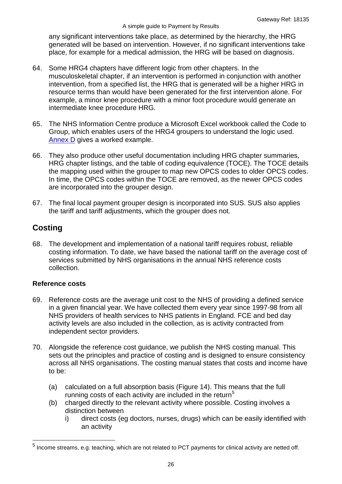any significant interventions take place, as determined by the hierarchy, the HRG generated will be based on intervention. However, if no significant interventions take place, for example for a medical admission, the HRG will be based on diagnosis.

- 64. Some HRG4 chapters have different logic from other chapters. In the musculoskeletal chapter, if an intervention is performed in conjunction with another intervention, from a specified list, the HRG that is generated will be a higher HRG in resource terms than would have been generated for the first intervention alone. For example, a minor knee procedure with a minor foot procedure would generate an intermediate knee procedure HRG.
- 65. The NHS Information Centre produce a Microsoft Excel workbook called the Code to Group, which enables users of the HRG4 groupers to understand the logic used. [Annex D](#page-67-0) gives a worked example.
- 66. They also produce other useful documentation including HRG chapter summaries, HRG chapter listings, and the table of coding equivalence (TOCE). The TOCE details the mapping used within the grouper to map new OPCS codes to older OPCS codes. In time, the OPCS codes within the TOCE are removed, as the newer OPCS codes are incorporated into the grouper design.
- 67. The final local payment grouper design is incorporated into SUS. SUS also applies the tariff and tariff adjustments, which the grouper does not.

## <span id="page-25-0"></span>**Costing**

68. The development and implementation of a national tariff requires robust, reliable costing information. To date, we have based the national tariff on the average cost of services submitted by NHS organisations in the annual NHS reference costs collection.

#### <span id="page-25-1"></span>**Reference costs**

- 69. Reference costs are the average unit cost to the NHS of providing a defined service in a given financial year. We have collected them every year since 1997-98 from all NHS providers of health services to NHS patients in England. FCE and bed day activity levels are also included in the collection, as is activity contracted from independent sector providers.
- 70. Alongside the reference cost guidance, we publish the NHS costing manual. This sets out the principles and practice of costing and is designed to ensure consistency across all NHS organisations. The costing manual states that costs and income have to be:
	- (a) calculated on a full absorption basis [\(Figure 14\)](#page-26-1). This means that the full running costs of each activity are included in the return<sup>[5](#page-21-1)</sup>
	- (b) charged directly to the relevant activity where possible. Costing involves a distinction between
		- i) direct costs (eg doctors, nurses, drugs) which can be easily identified with an activity

<span id="page-25-2"></span> <sup>5</sup> Income streams, e.g. teaching, which are not related to PCT payments for clinical activity are netted off.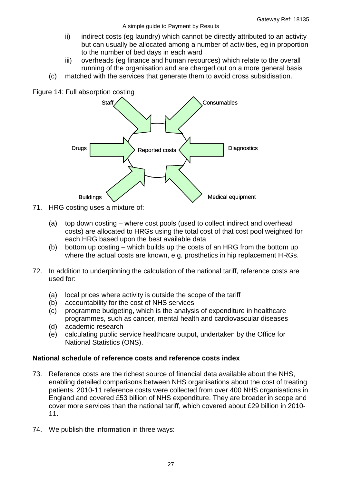- ii) indirect costs (eg laundry) which cannot be directly attributed to an activity but can usually be allocated among a number of activities, eg in proportion to the number of bed days in each ward
- iii) overheads (eg finance and human resources) which relate to the overall running of the organisation and are charged out on a more general basis
- (c) matched with the services that generate them to avoid cross subsidisation.

<span id="page-26-1"></span>Figure 14: Full absorption costing



- 71. HRG costing uses a mixture of:
	- (a) top down costing where cost pools (used to collect indirect and overhead costs) are allocated to HRGs using the total cost of that cost pool weighted for each HRG based upon the best available data
	- (b) bottom up costing which builds up the costs of an HRG from the bottom up where the actual costs are known, e.g. prosthetics in hip replacement HRGs.
- 72. In addition to underpinning the calculation of the national tariff, reference costs are used for:
	- (a) local prices where activity is outside the scope of the tariff
	- (b) accountability for the cost of NHS services
	- (c) programme budgeting, which is the analysis of expenditure in healthcare programmes, such as cancer, mental health and cardiovascular diseases
	- (d) academic research
	- (e) calculating public service healthcare output, undertaken by the Office for National Statistics (ONS).

#### <span id="page-26-0"></span>**National schedule of reference costs and reference costs index**

- 73. Reference costs are the richest source of financial data available about the NHS, enabling detailed comparisons between NHS organisations about the cost of treating patients. 2010-11 reference costs were collected from over 400 NHS organisations in England and covered £53 billion of NHS expenditure. They are broader in scope and cover more services than the national tariff, which covered about £29 billion in 2010- 11.
- 74. We publish the information in three ways: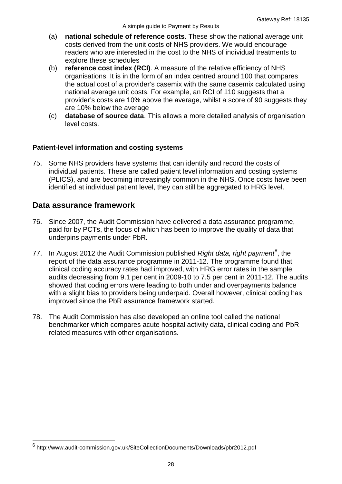- (a) **national schedule of reference costs**. These show the national average unit costs derived from the unit costs of NHS providers. We would encourage readers who are interested in the cost to the NHS of individual treatments to explore these schedules
- (b) **reference cost index (RCI)**. A measure of the relative efficiency of NHS organisations. It is in the form of an index centred around 100 that compares the actual cost of a provider's casemix with the same casemix calculated using national average unit costs. For example, an RCI of 110 suggests that a provider's costs are 10% above the average, whilst a score of 90 suggests they are 10% below the average
- (c) **database of source data**. This allows a more detailed analysis of organisation level costs.

#### <span id="page-27-0"></span>**Patient-level information and costing systems**

75. Some NHS providers have systems that can identify and record the costs of individual patients. These are called patient level information and costing systems (PLICS), and are becoming increasingly common in the NHS. Once costs have been identified at individual patient level, they can still be aggregated to HRG level.

#### <span id="page-27-1"></span>**Data assurance framework**

- 76. Since 2007, the Audit Commission have delivered a data assurance programme, paid for by PCTs, the focus of which has been to improve the quality of data that underpins payments under PbR.
- 77. In August 2012 the Audit Commission published *Right data, right payment[6](#page-25-2)* , the report of the data assurance programme in 2011-12. The programme found that clinical coding accuracy rates had improved, with HRG error rates in the sample audits decreasing from 9.1 per cent in 2009-10 to 7.5 per cent in 2011-12. The audits showed that coding errors were leading to both under and overpayments balance with a slight bias to providers being underpaid. Overall however, clinical coding has improved since the PbR assurance framework started.
- 78. The Audit Commission has also developed an online tool called the national benchmarker which compares acute hospital activity data, clinical coding and PbR related measures with other organisations.

<span id="page-27-2"></span> <sup>6</sup> http://www.audit-commission.gov.uk/SiteCollectionDocuments/Downloads/pbr2012.pdf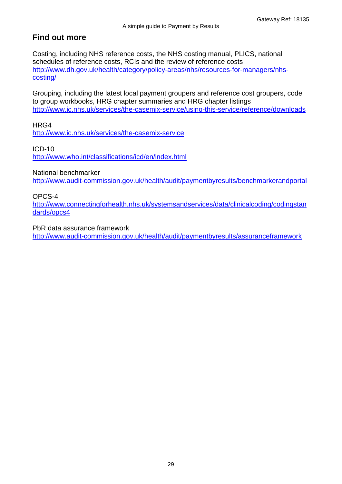## <span id="page-28-0"></span>**Find out more**

Costing, including NHS reference costs, the NHS costing manual, PLICS, national schedules of reference costs, RCIs and the review of reference costs [http://www.dh.gov.uk/health/category/policy-areas/nhs/resources-for-managers/nhs](http://www.dh.gov.uk/health/category/policy-areas/nhs/resources-for-managers/nhs-costing/)[costing/](http://www.dh.gov.uk/health/category/policy-areas/nhs/resources-for-managers/nhs-costing/)

Grouping, including the latest local payment groupers and reference cost groupers, code to group workbooks, HRG chapter summaries and HRG chapter listings <http://www.ic.nhs.uk/services/the-casemix-service/using-this-service/reference/downloads>

HRG4 <http://www.ic.nhs.uk/services/the-casemix-service>

ICD-10 <http://www.who.int/classifications/icd/en/index.html>

<span id="page-28-2"></span>National benchmarker

<span id="page-28-1"></span><http://www.audit-commission.gov.uk/health/audit/paymentbyresults/benchmarkerandportal>

OPCS-4

[http://www.connectingforhealth.nhs.uk/systemsandservices/data/clinicalcoding/codingstan](http://www.connectingforhealth.nhs.uk/systemsandservices/data/clinicalcoding/codingstandards/opcs4) [dards/opcs4](http://www.connectingforhealth.nhs.uk/systemsandservices/data/clinicalcoding/codingstandards/opcs4)

PbR data assurance framework

<http://www.audit-commission.gov.uk/health/audit/paymentbyresults/assuranceframework>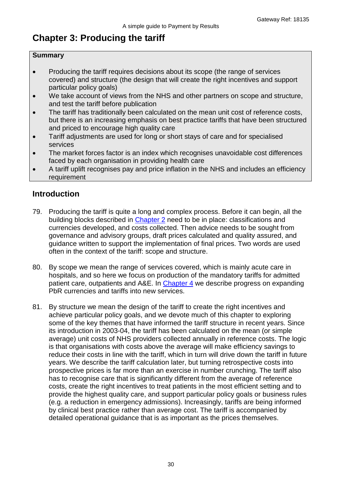# <span id="page-29-0"></span>**Chapter 3: Producing the tariff**

#### **Summary**

- Producing the tariff requires decisions about its scope (the range of services covered) and structure (the design that will create the right incentives and support particular policy goals)
- We take account of views from the NHS and other partners on scope and structure, and test the tariff before publication
- The tariff has traditionally been calculated on the mean unit cost of reference costs, but there is an increasing emphasis on best practice tariffs that have been structured and priced to encourage high quality care
- Tariff adjustments are used for long or short stays of care and for specialised services
- The market forces factor is an index which recognises unavoidable cost differences faced by each organisation in providing health care
- A tariff uplift recognises pay and price inflation in the NHS and includes an efficiency requirement

## <span id="page-29-1"></span>**Introduction**

- 79. Producing the tariff is quite a long and complex process. Before it can begin, all the building blocks described in [Chapter 2](#page-17-2) need to be in place: classifications and currencies developed, and costs collected. Then advice needs to be sought from governance and advisory groups, draft prices calculated and quality assured, and guidance written to support the implementation of final prices. Two words are used often in the context of the tariff: scope and structure.
- 80. By scope we mean the range of services covered, which is mainly acute care in hospitals, and so here we focus on production of the mandatory tariffs for admitted patient care, outpatients and A&E. In [Chapter 4](#page-41-1) we describe progress on expanding PbR currencies and tariffs into new services.
- 81. By structure we mean the design of the tariff to create the right incentives and achieve particular policy goals, and we devote much of this chapter to exploring some of the key themes that have informed the tariff structure in recent years. Since its introduction in 2003-04, the tariff has been calculated on the mean (or simple average) unit costs of NHS providers collected annually in reference costs. The logic is that organisations with costs above the average will make efficiency savings to reduce their costs in line with the tariff, which in turn will drive down the tariff in future years. We describe the tariff calculation later, but turning retrospective costs into prospective prices is far more than an exercise in number crunching. The tariff also has to recognise care that is significantly different from the average of reference costs, create the right incentives to treat patients in the most efficient setting and to provide the highest quality care, and support particular policy goals or business rules (e.g. a reduction in emergency admissions). Increasingly, tariffs are being informed by clinical best practice rather than average cost. The tariff is accompanied by detailed operational guidance that is as important as the prices themselves.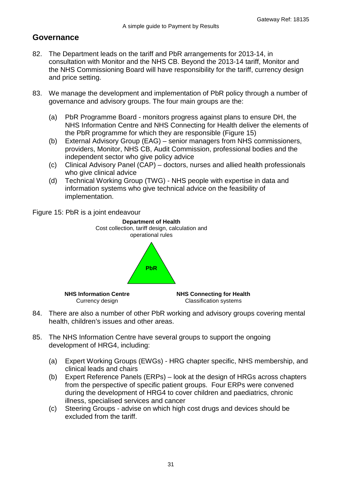## <span id="page-30-0"></span>**Governance**

- 82. The Department leads on the tariff and PbR arrangements for 2013-14, in consultation with Monitor and the NHS CB. Beyond the 2013-14 tariff, Monitor and the NHS Commissioning Board will have responsibility for the tariff, currency design and price setting.
- 83. We manage the development and implementation of PbR policy through a number of governance and advisory groups. The four main groups are the:
	- (a) PbR Programme Board monitors progress against plans to ensure DH, the NHS Information Centre and NHS Connecting for Health deliver the elements of the PbR programme for which they are responsible [\(Figure 15\)](#page-30-1)
	- (b) External Advisory Group (EAG) senior managers from NHS commissioners, providers, Monitor, NHS CB, Audit Commission, professional bodies and the independent sector who give policy advice
	- (c) Clinical Advisory Panel (CAP) doctors, nurses and allied health professionals who give clinical advice
	- (d) Technical Working Group (TWG) NHS people with expertise in data and information systems who give technical advice on the feasibility of implementation.

<span id="page-30-1"></span>Figure 15: PbR is a joint endeavour



- 84. There are also a number of other PbR working and advisory groups covering mental health, children's issues and other areas.
- 85. The NHS Information Centre have several groups to support the ongoing development of HRG4, including:
	- (a) Expert Working Groups (EWGs) HRG chapter specific, NHS membership, and clinical leads and chairs
	- (b) Expert Reference Panels (ERPs) look at the design of HRGs across chapters from the perspective of specific patient groups. Four ERPs were convened during the development of HRG4 to cover children and paediatrics, chronic illness, specialised services and cancer
	- (c) Steering Groups advise on which high cost drugs and devices should be excluded from the tariff.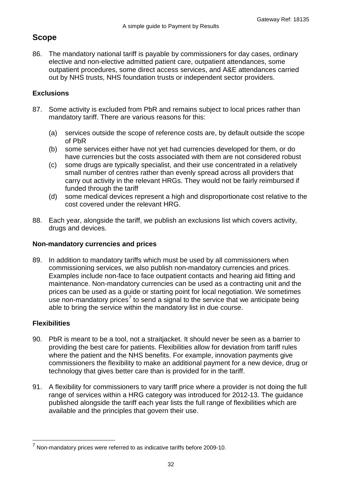## <span id="page-31-0"></span>**Scope**

86. The mandatory national tariff is payable by commissioners for day cases, ordinary elective and non-elective admitted patient care, outpatient attendances, some outpatient procedures, some direct access services, and A&E attendances carried out by NHS trusts, NHS foundation trusts or independent sector providers.

## <span id="page-31-1"></span>**Exclusions**

- 87. Some activity is excluded from PbR and remains subject to local prices rather than mandatory tariff. There are various reasons for this:
	- (a) services outside the scope of reference costs are, by default outside the scope of PbR
	- (b) some services either have not yet had currencies developed for them, or do have currencies but the costs associated with them are not considered robust
	- (c) some drugs are typically specialist, and their use concentrated in a relatively small number of centres rather than evenly spread across all providers that carry out activity in the relevant HRGs. They would not be fairly reimbursed if funded through the tariff
	- (d) some medical devices represent a high and disproportionate cost relative to the cost covered under the relevant HRG.
- 88. Each year, alongside the tariff, we publish an exclusions list which covers activity, drugs and devices.

#### <span id="page-31-2"></span>**Non-mandatory currencies and prices**

89. In addition to mandatory tariffs which must be used by all commissioners when commissioning services, we also publish non-mandatory currencies and prices. Examples include non-face to face outpatient contacts and hearing aid fitting and maintenance. Non-mandatory currencies can be used as a contracting unit and the prices can be used as a guide or starting point for local negotiation. We sometimes use non-mandatory prices<sup>[7](#page-27-2)</sup> to send a signal to the service that we anticipate being able to bring the service within the mandatory list in due course.

#### <span id="page-31-3"></span>**Flexibilities**

- 90. PbR is meant to be a tool, not a straitjacket. It should never be seen as a barrier to providing the best care for patients. Flexibilities allow for deviation from tariff rules where the patient and the NHS benefits. For example, innovation payments give commissioners the flexibility to make an additional payment for a new device, drug or technology that gives better care than is provided for in the tariff.
- 91. A flexibility for commissioners to vary tariff price where a provider is not doing the full range of services within a HRG category was introduced for 2012-13. The guidance published alongside the tariff each year lists the full range of flexibilities which are available and the principles that govern their use.

<span id="page-31-4"></span> <sup>7</sup> Non-mandatory prices were referred to as indicative tariffs before 2009-10.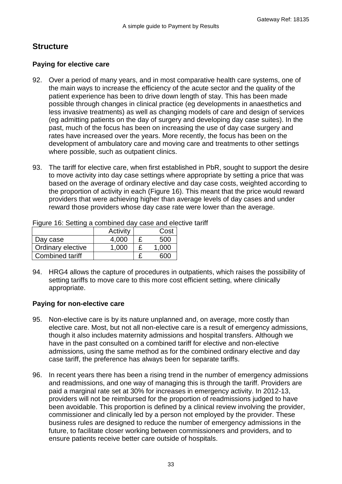## <span id="page-32-0"></span>**Structure**

#### <span id="page-32-1"></span>**Paying for elective care**

- 92. Over a period of many years, and in most comparative health care systems, one of the main ways to increase the efficiency of the acute sector and the quality of the patient experience has been to drive down length of stay. This has been made possible through changes in clinical practice (eg developments in anaesthetics and less invasive treatments) as well as changing models of care and design of services (eg admitting patients on the day of surgery and developing day case suites). In the past, much of the focus has been on increasing the use of day case surgery and rates have increased over the years. More recently, the focus has been on the development of ambulatory care and moving care and treatments to other settings where possible, such as outpatient clinics.
- 93. The tariff for elective care, when first established in PbR, sought to support the desire to move activity into day case settings where appropriate by setting a price that was based on the average of ordinary elective and day case costs, weighted according to the proportion of activity in each [\(Figure 16\)](#page-32-3). This meant that the price would reward providers that were achieving higher than average levels of day cases and under reward those providers whose day case rate were lower than the average.

| <u>t iyulce to. Octuriy a combined day case and elec</u> |          |  |                  |  |  |
|----------------------------------------------------------|----------|--|------------------|--|--|
|                                                          | Activity |  | Cost             |  |  |
| Day case                                                 | 4,000    |  | 500              |  |  |
| Ordinary elective                                        | 1,000    |  | 1,000            |  |  |
| Combined tariff                                          |          |  | 600 <sub>1</sub> |  |  |

<span id="page-32-3"></span>Figure 16: Setting a combined day case and elective tariff

94. HRG4 allows the capture of procedures in outpatients, which raises the possibility of setting tariffs to move care to this more cost efficient setting, where clinically appropriate.

#### <span id="page-32-2"></span>**Paying for non-elective care**

- 95. Non-elective care is by its nature unplanned and, on average, more costly than elective care. Most, but not all non-elective care is a result of emergency admissions, though it also includes maternity admissions and hospital transfers. Although we have in the past consulted on a combined tariff for elective and non-elective admissions, using the same method as for the combined ordinary elective and day case tariff, the preference has always been for separate tariffs.
- 96. In recent years there has been a rising trend in the number of emergency admissions and readmissions, and one way of managing this is through the tariff. Providers are paid a marginal rate set at 30% for increases in emergency activity. In 2012-13, providers will not be reimbursed for the proportion of readmissions judged to have been avoidable. This proportion is defined by a clinical review involving the provider, commissioner and clinically led by a person not employed by the provider. These business rules are designed to reduce the number of emergency admissions in the future, to facilitate closer working between commissioners and providers, and to ensure patients receive better care outside of hospitals.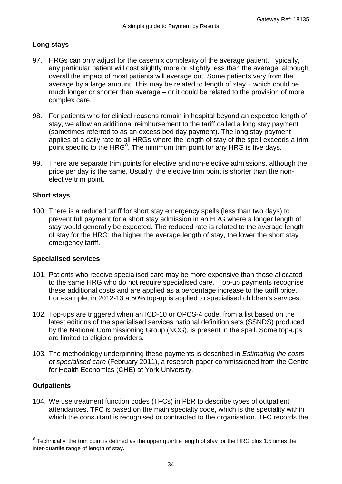#### <span id="page-33-0"></span>**Long stays**

- 97. HRGs can only adjust for the casemix complexity of the average patient. Typically, any particular patient will cost slightly more or slightly less than the average, although overall the impact of most patients will average out. Some patients vary from the average by a large amount. This may be related to length of stay – which could be much longer or shorter than average – or it could be related to the provision of more complex care.
- 98. For patients who for clinical reasons remain in hospital beyond an expected length of stay, we allow an additional reimbursement to the tariff called a long stay payment (sometimes referred to as an excess bed day payment). The long stay payment applies at a daily rate to all HRGs where the length of stay of the spell exceeds a trim point specific to the HRG ${}^{8}$  ${}^{8}$  ${}^{8}$ . The minimum trim point for any HRG is five days.
- 99. There are separate trim points for elective and non-elective admissions, although the price per day is the same. Usually, the elective trim point is shorter than the nonelective trim point.

#### <span id="page-33-1"></span>**Short stays**

100. There is a reduced tariff for short stay emergency spells (less than two days) to prevent full payment for a short stay admission in an HRG where a longer length of stay would generally be expected. The reduced rate is related to the average length of stay for the HRG: the higher the average length of stay, the lower the short stay emergency tariff.

#### <span id="page-33-2"></span>**Specialised services**

- 101. Patients who receive specialised care may be more expensive than those allocated to the same HRG who do not require specialised care. Top-up payments recognise these additional costs and are applied as a percentage increase to the tariff price. For example, in 2012-13 a 50% top-up is applied to specialised children's services.
- 102. Top-ups are triggered when an ICD-10 or OPCS-4 code, from a list based on the latest editions of the specialised services national definition sets (SSNDS) produced by the National Commissioning Group (NCG), is present in the spell. Some top-ups are limited to eligible providers.
- 103. The methodology underpinning these payments is described in *Estimating the costs of specialised care* (February 2011), a research paper commissioned from the Centre for Health Economics (CHE) at York University.

#### <span id="page-33-3"></span>**Outpatients**

104. We use treatment function codes (TFCs) in PbR to describe types of outpatient attendances. TFC is based on the main specialty code, which is the speciality within which the consultant is recognised or contracted to the organisation. TFC records the

<span id="page-33-4"></span> $8$  Technically, the trim point is defined as the upper quartile length of stay for the HRG plus 1.5 times the inter-quartile range of length of stay.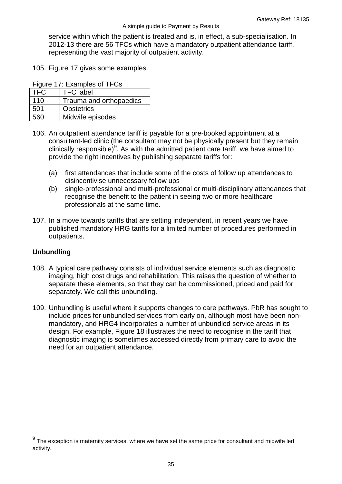service within which the patient is treated and is, in effect, a sub-specialisation. In 2012-13 there are 56 TFCs which have a mandatory outpatient attendance tariff, [representing the vast majority of outpatient activity.](#page-34-2)

<span id="page-34-2"></span>105. [Figure 17](#page-34-2) gives some examples.

<span id="page-34-1"></span>Figure 17: Examples of TFCs

| <b>TFC</b> | <b>TFC</b> label        |
|------------|-------------------------|
| 110        | Trauma and orthopaedics |
| 501        | <b>Obstetrics</b>       |
| 560        | Midwife episodes        |

- 106. An outpatient attendance tariff is payable for a pre-booked appointment at a consultant-led clinic (the consultant may not be physically present but they remain clinically responsible)<sup>[9](#page-33-4)</sup>. As with the admitted patient care tariff, we have aimed to provide the right incentives by publishing separate tariffs for:
	- (a) first attendances that include some of the costs of follow up attendances to disincentivise unnecessary follow ups
	- (b) single-professional and multi-professional or multi-disciplinary attendances that recognise the benefit to the patient in seeing two or more healthcare professionals at the same time.
- 107. In a move towards tariffs that are setting independent, in recent years we have published mandatory HRG tariffs for a limited number of procedures performed in outpatients.

#### <span id="page-34-0"></span>**Unbundling**

- 108. A typical care pathway consists of individual service elements such as diagnostic imaging, high cost drugs and rehabilitation. This raises the question of whether to separate these elements, so that they can be commissioned, priced and paid for separately. We call this unbundling.
- 109. Unbundling is useful where it supports changes to care pathways. PbR has sought to include prices for unbundled services from early on, although most have been nonmandatory, and HRG4 incorporates a number of unbundled service areas in its design. For example, [Figure 18](#page-35-2) illustrates the need to recognise in the tariff that diagnostic imaging is sometimes accessed directly from primary care to avoid the need for an outpatient attendance.

 $9$  The exception is maternity services, where we have set the same price for consultant and midwife led activity.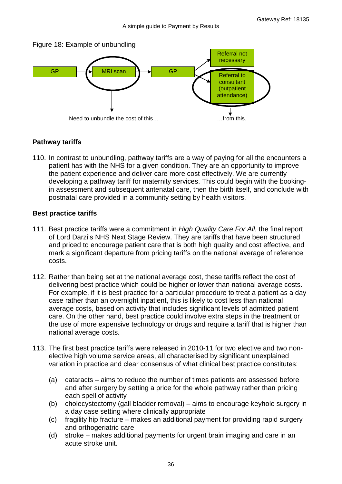

<span id="page-35-2"></span>Figure 18: Example of unbundling

#### <span id="page-35-0"></span>**Pathway tariffs**

110. In contrast to unbundling, pathway tariffs are a way of paying for all the encounters a patient has with the NHS for a given condition. They are an opportunity to improve the patient experience and deliver care more cost effectively. We are currently developing a pathway tariff for maternity services. This could begin with the bookingin assessment and subsequent antenatal care, then the birth itself, and conclude with postnatal care provided in a community setting by health visitors.

#### <span id="page-35-1"></span>**Best practice tariffs**

- 111. Best practice tariffs were a commitment in *High Quality Care For All*, the final report of Lord Darzi's NHS Next Stage Review. They are tariffs that have been structured and priced to encourage patient care that is both high quality and cost effective, and mark a significant departure from pricing tariffs on the national average of reference costs.
- 112. Rather than being set at the national average cost, these tariffs reflect the cost of delivering best practice which could be higher or lower than national average costs. For example, if it is best practice for a particular procedure to treat a patient as a day case rather than an overnight inpatient, this is likely to cost less than national average costs, based on activity that includes significant levels of admitted patient care. On the other hand, best practice could involve extra steps in the treatment or the use of more expensive technology or drugs and require a tariff that is higher than national average costs.
- 113. The first best practice tariffs were released in 2010-11 for two elective and two nonelective high volume service areas, all characterised by significant unexplained variation in practice and clear consensus of what clinical best practice constitutes:
	- (a) cataracts aims to reduce the number of times patients are assessed before and after surgery by setting a price for the whole pathway rather than pricing each spell of activity
	- (b) cholecystectomy (gall bladder removal) aims to encourage keyhole surgery in a day case setting where clinically appropriate
	- (c) fragility hip fracture makes an additional payment for providing rapid surgery and orthogeriatric care
	- (d) stroke makes additional payments for urgent brain imaging and care in an acute stroke unit.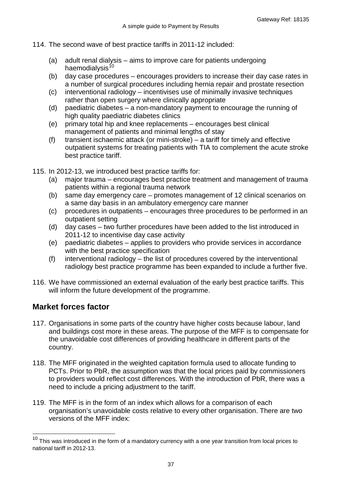- 114. The second wave of best practice tariffs in 2011-12 included:
	- (a) adult renal dialysis aims to improve care for patients undergoing haemodialysis<sup>[10](#page-34-0)</sup>
	- (b) day case procedures encourages providers to increase their day case rates in a number of surgical procedures including hernia repair and prostate resection
	- (c) interventional radiology incentivises use of minimally invasive techniques rather than open surgery where clinically appropriate
	- (d) paediatric diabetes a non-mandatory payment to encourage the running of high quality paediatric diabetes clinics
	- (e) primary total hip and knee replacements encourages best clinical management of patients and minimal lengths of stay
	- $(f)$  transient ischaemic attack (or mini-stroke) a tariff for timely and effective outpatient systems for treating patients with TIA to complement the acute stroke best practice tariff.
- 115. In 2012-13, we introduced best practice tariffs for:
	- (a) major trauma encourages best practice treatment and management of trauma patients within a regional trauma network
	- (b) same day emergency care promotes management of 12 clinical scenarios on a same day basis in an ambulatory emergency care manner
	- (c) procedures in outpatients encourages three procedures to be performed in an outpatient setting
	- (d) day cases two further procedures have been added to the list introduced in 2011-12 to incentivise day case activity
	- (e) paediatric diabetes applies to providers who provide services in accordance with the best practice specification
	- (f) interventional radiology the list of procedures covered by the interventional radiology best practice programme has been expanded to include a further five.
- 116. We have commissioned an external evaluation of the early best practice tariffs. This will inform the future development of the programme.

## **Market forces factor**

- 117. Organisations in some parts of the country have higher costs because labour, land and buildings cost more in these areas. The purpose of the MFF is to compensate for the unavoidable cost differences of providing healthcare in different parts of the country.
- 118. The MFF originated in the weighted capitation formula used to allocate funding to PCTs. Prior to PbR, the assumption was that the local prices paid by commissioners to providers would reflect cost differences. With the introduction of PbR, there was a need to include a pricing adjustment to the tariff.
- 119. The MFF is in the form of an index which allows for a comparison of each organisation's unavoidable costs relative to every other organisation. There are two versions of the MFF index:

<span id="page-36-0"></span> $10$  This was introduced in the form of a mandatory currency with a one year transition from local prices to national tariff in 2012-13.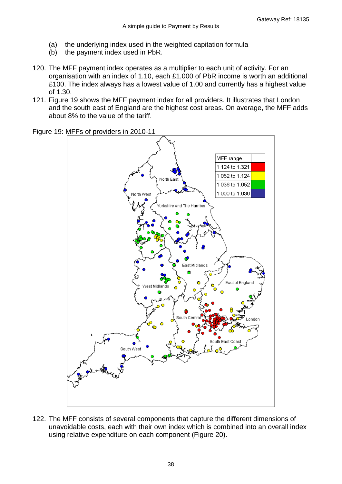- (a) the underlying index used in the weighted capitation formula
- (b) the payment index used in PbR.
- 120. The MFF payment index operates as a multiplier to each unit of activity. For an organisation with an index of 1.10, each £1,000 of PbR income is worth an additional £100. T[he index always has a lowest value of 1.00 and currently has a highest value](#page-37-0)  of 1.30.
- 121. [Figure](#page-37-0) 19 shows the MFF payment index for all providers. It illustrates that London and the south east of England are the highest cost areas. On average, the MFF adds about 8% to the value of the tariff.

<span id="page-37-0"></span>Figure 19: MFFs of providers in 2010-11



122. The MFF consists of several components that capture the different dimensions of unavoidable costs, each with their own index which is combined into an overall index using relative expenditure on each component [\(Figure 20\)](#page-38-0).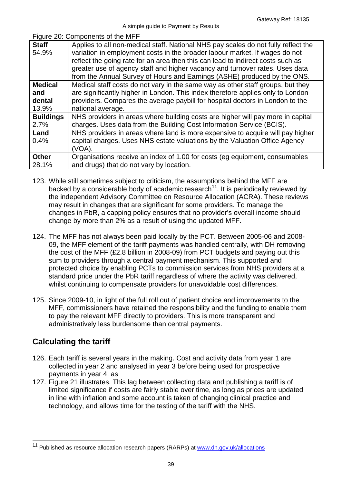<span id="page-38-0"></span>

|  | Figure 20: Components of the MFF |  |
|--|----------------------------------|--|
|--|----------------------------------|--|

| <b>Staff</b>     | Applies to all non-medical staff. National NHS pay scales do not fully reflect the |
|------------------|------------------------------------------------------------------------------------|
| 54.9%            | variation in employment costs in the broader labour market. If wages do not        |
|                  | reflect the going rate for an area then this can lead to indirect costs such as    |
|                  | greater use of agency staff and higher vacancy and turnover rates. Uses data       |
|                  | from the Annual Survey of Hours and Earnings (ASHE) produced by the ONS.           |
| <b>Medical</b>   | Medical staff costs do not vary in the same way as other staff groups, but they    |
| and              | are significantly higher in London. This index therefore applies only to London    |
| dental           | providers. Compares the average paybill for hospital doctors in London to the      |
| 13.9%            | national average.                                                                  |
| <b>Buildings</b> | NHS providers in areas where building costs are higher will pay more in capital    |
| 2.7%             | charges. Uses data from the Building Cost Information Service (BCIS).              |
| Land             | NHS providers in areas where land is more expensive to acquire will pay higher     |
| 0.4%             | capital charges. Uses NHS estate valuations by the Valuation Office Agency         |
|                  | (VOA).                                                                             |
| <b>Other</b>     | Organisations receive an index of 1.00 for costs (eg equipment, consumables        |
| 28.1%            | and drugs) that do not vary by location.                                           |

- 123. While still sometimes subject to criticism, the assumptions behind the MFF are backed by a considerable body of academic research<sup>11</sup>. It is periodically reviewed by the independent Advisory Committee on Resource Allocation (ACRA). These reviews may result in changes that are significant for some providers. To manage the changes in PbR, a capping policy ensures that no provider's overall income should change by more than 2% as a result of using the updated MFF.
- 124. The MFF has not always been paid locally by the PCT. Between 2005-06 and 2008- 09, the MFF element of the tariff payments was handled centrally, with DH removing the cost of the MFF (£2.8 billion in 2008-09) from PCT budgets and paying out this sum to providers through a central payment mechanism. This supported and protected choice by enabling PCTs to commission services from NHS providers at a standard price under the PbR tariff regardless of where the activity was delivered, whilst continuing to compensate providers for unavoidable cost differences.
- 125. Since 2009-10, in light of the full roll out of patient choice and improvements to the MFF, commissioners have retained the responsibility and the funding to enable them to pay the relevant MFF directly to providers. This is more transparent and administratively less burdensome than central payments.

# **Calculating the tariff**

- 126. Each tariff is several years in the making. Cost and activity data from year 1 are collected in year 2 and analysed in year 3 before being used for prospective payments in year 4, as
- <span id="page-38-1"></span>127. [Figure 21](#page-38-1) illustrates. This lag between collecting data and publishing a tariff is of limited significance if costs are fairly stable over time, as long as prices are updated in line with inflation and some account is taken of changing clinical practice and technology, and allows time for the testing of the tariff with the NHS.

<span id="page-38-2"></span><sup>&</sup>lt;sup>11</sup> Published as resource allocation research papers (RARPs) at [www.dh.gov.uk/allocations](http://www.dh.gov.uk/allocations)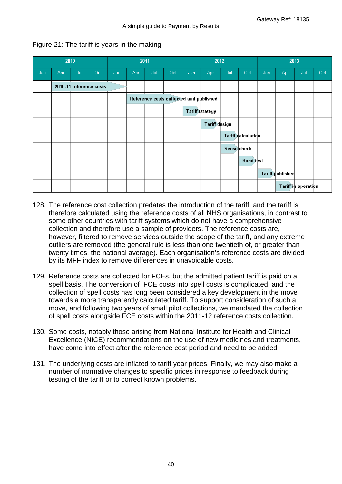| 2010 |     |                         |     |     | 2011 |     |                                         |     | 2012                   |             |                    | 2013 |                         |                     |     |
|------|-----|-------------------------|-----|-----|------|-----|-----------------------------------------|-----|------------------------|-------------|--------------------|------|-------------------------|---------------------|-----|
| Jan  | Apr | Jul                     | Oct | Jan | Apr  | Jul | Oct                                     | Jan | Apr                    | Jul         | Oct                | Jan  | Apr                     | Jul                 | Oct |
|      |     | 2010-11 reference costs |     |     |      |     |                                         |     |                        |             |                    |      |                         |                     |     |
|      |     |                         |     |     |      |     | Reference costs collected and published |     |                        |             |                    |      |                         |                     |     |
|      |     |                         |     |     |      |     |                                         |     | <b>Tariff strategy</b> |             |                    |      |                         |                     |     |
|      |     |                         |     |     |      |     |                                         |     | Tariff design          |             |                    |      |                         |                     |     |
|      |     |                         |     |     |      |     |                                         |     |                        |             | Tariff calculation |      |                         |                     |     |
|      |     |                         |     |     |      |     |                                         |     |                        | Sense check |                    |      |                         |                     |     |
|      |     |                         |     |     |      |     |                                         |     |                        |             | Road test          |      |                         |                     |     |
|      |     |                         |     |     |      |     |                                         |     |                        |             |                    |      | <b>Tariff published</b> |                     |     |
|      |     |                         |     |     |      |     |                                         |     |                        |             |                    |      |                         | Tariff in operation |     |

Figure 21: The tariff is years in the making

- 128. The reference cost collection predates the introduction of the tariff, and the tariff is therefore calculated using the reference costs of all NHS organisations, in contrast to some other countries with tariff systems which do not have a comprehensive collection and therefore use a sample of providers. The reference costs are, however, filtered to remove services outside the scope of the tariff, and any extreme outliers are removed (the general rule is less than one twentieth of, or greater than twenty times, the national average). Each organisation's reference costs are divided by its MFF index to remove differences in unavoidable costs.
- 129. Reference costs are collected for FCEs, but the admitted patient tariff is paid on a spell basis. The conversion of FCE costs into spell costs is complicated, and the collection of spell costs has long been considered a key development in the move towards a more transparently calculated tariff. To support consideration of such a move, and following two years of small pilot collections, we mandated the collection of spell costs alongside FCE costs within the 2011-12 reference costs collection.
- 130. Some costs, notably those arising from National Institute for Health and Clinical Excellence (NICE) recommendations on the use of new medicines and treatments, have come into effect after the reference cost period and need to be added.
- 131. The underlying costs are inflated to tariff year prices. Finally, we may also make a number of normative changes to specific prices in response to feedback during testing of the tariff or to correct known problems.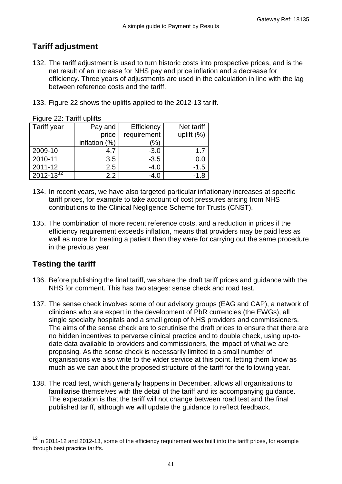# **Tariff adjustment**

- 132. The tariff adjustment is used to turn historic costs into prospective prices, and is the net result of an increase for NHS pay and price inflation and a decrease for efficiency. Three years of adjustments are used in the calculation in line with the lag [between reference costs and the tariff.](#page-40-0)
- 133. [Figure](#page-40-0) 22 shows the uplifts applied to the 2012-13 tariff.

<span id="page-40-0"></span>Figure 22: Tariff uplifts

| Tariff year      | Pay and          | Efficiency  | Net tariff    |
|------------------|------------------|-------------|---------------|
|                  | price            | requirement | uplift $(\%)$ |
|                  | inflation $(\%)$ | $\%$        |               |
| 2009-10          | 4.7              | $-3.0$      | 1.7           |
| 2010-11          | 3.5              | $-3.5$      | 0.0           |
| 2011-12          | 2.5              | $-4.0$      | $-1.5$        |
| $2012 - 13^{12}$ | 2.2              | $-4.0$      | -1.8          |

- 134. In recent years, we have also targeted particular inflationary increases at specific tariff prices, for example to take account of cost pressures arising from NHS contributions to the Clinical Negligence Scheme for Trusts (CNST).
- 135. The combination of more recent reference costs, and a reduction in prices if the efficiency requirement exceeds inflation, means that providers may be paid less as well as more for treating a patient than they were for carrying out the same procedure in the previous year.

# **Testing the tariff**

- 136. Before publishing the final tariff, we share the draft tariff prices and guidance with the NHS for comment. This has two stages: sense check and road test.
- 137. The sense check involves some of our advisory groups (EAG and CAP), a network of clinicians who are expert in the development of PbR currencies (the EWGs), all single specialty hospitals and a small group of NHS providers and commissioners. The aims of the sense check are to scrutinise the draft prices to ensure that there are no hidden incentives to perverse clinical practice and to double check, using up-todate data available to providers and commissioners, the impact of what we are proposing. As the sense check is necessarily limited to a small number of organisations we also write to the wider service at this point, letting them know as much as we can about the proposed structure of the tariff for the following year.
- 138. The road test, which generally happens in December, allows all organisations to familiarise themselves with the detail of the tariff and its accompanying guidance. The expectation is that the tariff will not change between road test and the final published tariff, although we will update the guidance to reflect feedback.

<span id="page-40-1"></span><sup>&</sup>lt;sup>12</sup> In 2011-12 and 2012-13, some of the efficiency requirement was built into the tariff prices, for example through best practice tariffs.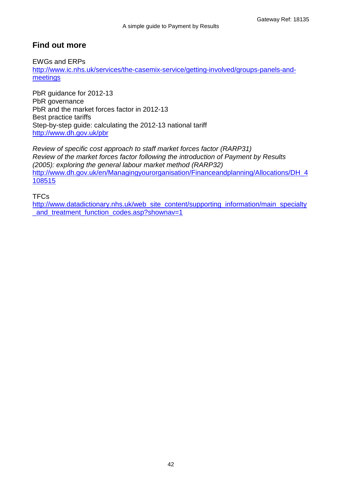## **Find out more**

EWGs and ERPs [http://www.ic.nhs.uk/services/the-casemix-service/getting-involved/groups-panels-and](http://www.ic.nhs.uk/services/the-casemix-service/getting-involved/groups-panels-and-meetings)[meetings](http://www.ic.nhs.uk/services/the-casemix-service/getting-involved/groups-panels-and-meetings)

PbR guidance for 2012-13 PbR governance PbR and the market forces factor in 2012-13 Best practice tariffs Step-by-step guide: calculating the 2012-13 national tariff <http://www.dh.gov.uk/pbr>

*Review of specific cost approach to staff market forces factor (RARP31) Review of the market forces factor following the introduction of Payment by Results (2005): exploring the general labour market method (RARP32)* [http://www.dh.gov.uk/en/Managingyourorganisation/Financeandplanning/Allocations/DH\\_4](http://www.dh.gov.uk/en/Managingyourorganisation/Financeandplanning/Allocations/DH_4108515) [108515](http://www.dh.gov.uk/en/Managingyourorganisation/Financeandplanning/Allocations/DH_4108515) 

**TFCs** 

[http://www.datadictionary.nhs.uk/web\\_site\\_content/supporting\\_information/main\\_specialty](http://www.datadictionary.nhs.uk/web_site_content/supporting_information/main_specialty_and_treatment_function_codes.asp?shownav=1) and treatment function codes.asp?shownav=1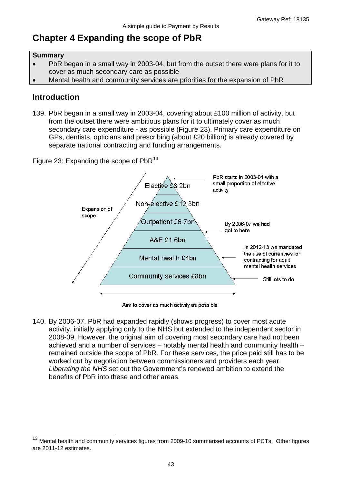# **Chapter 4 Expanding the scope of PbR**

#### **Summary**

- PbR began in a small way in 2003-04, but from the outset there were plans for it to cover as much secondary care as possible
- Mental health and community services are priorities for the expansion of PbR

## **Introduction**

139. PbR began in a small way in 2003-04, covering about £100 million of activity, but from the outset there were ambitious plans for it to ultimately cover as much secondary care expenditure - as possible [\(Figure 23\)](#page-42-0). Primary care expenditure on GPs, dentists, opticians and prescribing (about £20 billion) is already covered by separate national contracting and funding arrangements.

<span id="page-42-0"></span>Figure 23: Expanding the scope of  $PbR^{13}$  $PbR^{13}$  $PbR^{13}$ 



Aim to cover as much activity as possible

140. By 2006-07, PbR had expanded rapidly (shows progress) to cover most acute activity, initially applying only to the NHS but extended to the independent sector in 2008-09. However, the original aim of covering most secondary care had not been achieved and a number of services – notably mental health and community health – remained outside the scope of PbR. For these services, the price paid still has to be worked out by negotiation between commissioners and providers each year. *Liberating the NHS* set out the Government's renewed ambition to extend the benefits of PbR into these and other areas.

<span id="page-42-1"></span><sup>&</sup>lt;sup>13</sup> Mental health and community services figures from 2009-10 summarised accounts of PCTs. Other figures are 2011-12 estimates.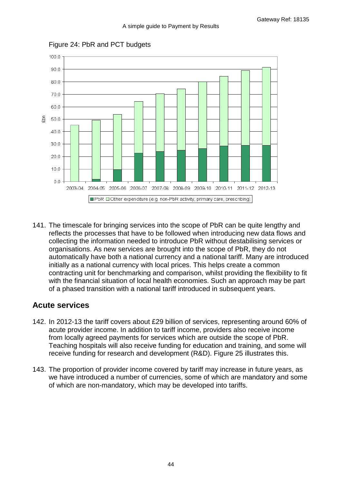

Figure 24: PbR and PCT budgets

141. The timescale for bringing services into the scope of PbR can be quite lengthy and reflects the processes that have to be followed when introducing new data flows and collecting the information needed to introduce PbR without destabilising services or organisations. As new services are brought into the scope of PbR, they do not automatically have both a national currency and a national tariff. Many are introduced initially as a national currency with local prices. This helps create a common contracting unit for benchmarking and comparison, whilst providing the flexibility to fit with the financial situation of local health economies. Such an approach may be part of a phased transition with a national tariff introduced in subsequent years.

### **Acute services**

- 142. In 2012-13 the tariff covers about £29 billion of services, representing around 60% of acute provider income. In addition to tariff income, providers also receive income from locally agreed payments for services which are outside the scope of PbR. Teaching hospitals will also receive funding for education and training, and some will receive funding for research and development (R&D). Figure 25 illustrates this.
- 143. The proportion of provider income covered by tariff may increase in future years, as we have introduced a number of currencies, some of which are mandatory and some of which are non-mandatory, which may be developed into tariffs.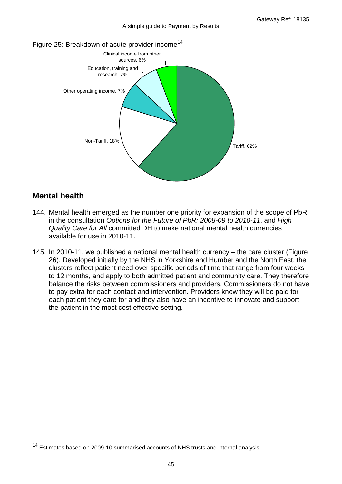

## **Mental health**

- 144. Mental health emerged as the number one priority for expansion of the scope of PbR in the consultation *Options for the Future of PbR: 2008-09 to 2010-11*, and *High Quality Care for All* committed DH to make national mental health currencies available for use in 2010-11.
- 145. In 2010-11, we published a national mental health currency the care cluster [\(Figure](#page-45-0)  [26\)](#page-45-0). Developed initially by the NHS in Yorkshire and Humber and the North East, the clusters reflect patient need over specific periods of time that range from four weeks to 12 months, and apply to both admitted patient and community care. They therefore balance the risks between commissioners and providers. Commissioners do not have to pay extra for each contact and intervention. Providers know they will be paid for each patient they care for and they also have an incentive to innovate and support the patient in the most cost effective setting.

<span id="page-44-0"></span> $14$  Estimates based on 2009-10 summarised accounts of NHS trusts and internal analysis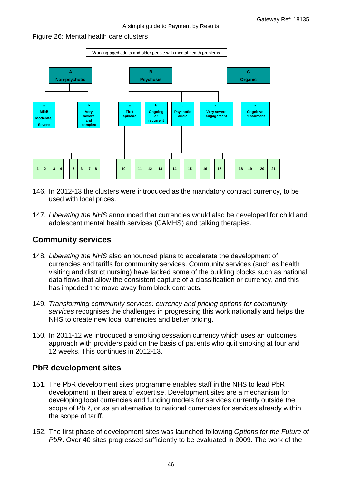#### A simple guide to Payment by Results

#### <span id="page-45-0"></span>Figure 26: Mental health care clusters



- 146. In 2012-13 the clusters were introduced as the mandatory contract currency, to be used with local prices.
- 147. *Liberating the NHS* announced that currencies would also be developed for child and adolescent mental health services (CAMHS) and talking therapies.

### **Community services**

- 148. *Liberating the NHS* also announced plans to accelerate the development of currencies and tariffs for community services. Community services (such as health visiting and district nursing) have lacked some of the building blocks such as national data flows that allow the consistent capture of a classification or currency, and this has impeded the move away from block contracts.
- 149. *Transforming community services: currency and pricing options for community services* recognises the challenges in progressing this work nationally and helps the NHS to create new local currencies and better pricing.
- 150. In 2011-12 we introduced a smoking cessation currency which uses an outcomes approach with providers paid on the basis of patients who quit smoking at four and 12 weeks. This continues in 2012-13.

### **PbR development sites**

- 151. The PbR development sites programme enables staff in the NHS to lead PbR development in their area of expertise. Development sites are a mechanism for developing local currencies and funding models for services currently outside the scope of PbR, or as an alternative to national currencies for services already within the scope of tariff.
- 152. The first phase of development sites was launched following *Options for the Future of PbR*. Over 40 sites progressed sufficiently to be evaluated in 2009. The work of the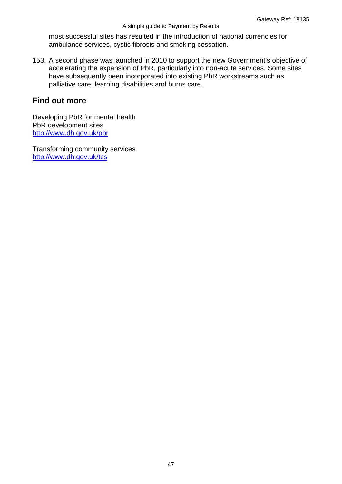most successful sites has resulted in the introduction of national currencies for ambulance services, cystic fibrosis and smoking cessation.

153. A second phase was launched in 2010 to support the new Government's objective of accelerating the expansion of PbR, particularly into non-acute services. Some sites have subsequently been incorporated into existing PbR workstreams such as palliative care, learning disabilities and burns care.

## **Find out more**

Developing PbR for mental health PbR development sites <http://www.dh.gov.uk/pbr>

Transforming community services <http://www.dh.gov.uk/tcs>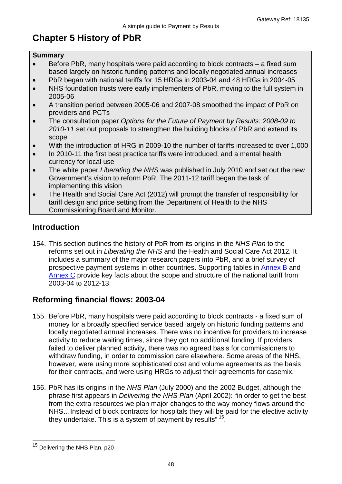# **Chapter 5 History of PbR**

#### **Summary**

- Before PbR, many hospitals were paid according to block contracts a fixed sum based largely on historic funding patterns and locally negotiated annual increases
- PbR began with national tariffs for 15 HRGs in 2003-04 and 48 HRGs in 2004-05
- NHS foundation trusts were early implementers of PbR, moving to the full system in 2005-06
- A transition period between 2005-06 and 2007-08 smoothed the impact of PbR on providers and PCTs
- The consultation paper *Options for the Future of Payment by Results: 2008-09 to 2010-11* set out proposals to strengthen the building blocks of PbR and extend its scope
- With the introduction of HRG in 2009-10 the number of tariffs increased to over 1,000
- In 2010-11 the first best practice tariffs were introduced, and a mental health currency for local use
- The white paper *Liberating the NHS* was published in July 2010 and set out the new Government's vision to reform PbR. The 2011-12 tariff began the task of implementing this vision
- The Health and Social Care Act (2012) will prompt the transfer of responsibility for tariff design and price setting from the Department of Health to the NHS Commissioning Board and Monitor.

# **Introduction**

154. This section outlines the history of PbR from its origins in the *NHS Plan* to the reforms set out in *Liberating the NHS* and the Health and Social Care Act 2012*.* It includes a summary of the major research papers into PbR, and a brief survey of prospective payment systems in other countries. Supporting tables in [Annex B](#page-62-0) and [Annex C](#page-64-0) provide key facts about the scope and structure of the national tariff from 2003-04 to 2012-13.

# **Reforming financial flows: 2003-04**

- 155. Before PbR, many hospitals were paid according to block contracts a fixed sum of money for a broadly specified service based largely on historic funding patterns and locally negotiated annual increases. There was no incentive for providers to increase activity to reduce waiting times, since they got no additional funding. If providers failed to deliver planned activity, there was no agreed basis for commissioners to withdraw funding, in order to commission care elsewhere. Some areas of the NHS, however, were using more sophisticated cost and volume agreements as the basis for their contracts, and were using HRGs to adjust their agreements for casemix.
- 156. PbR has its origins in the *NHS Plan* (July 2000) and the 2002 Budget, although the phrase first appears in *Delivering the NHS Plan* (April 2002): "in order to get the best from the extra resources we plan major changes to the way money flows around the NHS…Instead of block contracts for hospitals they will be paid for the elective activity they undertake. This is a system of payment by results"<sup>[15](#page-44-0)</sup>.

<span id="page-47-0"></span><sup>15</sup> Delivering the NHS Plan, p20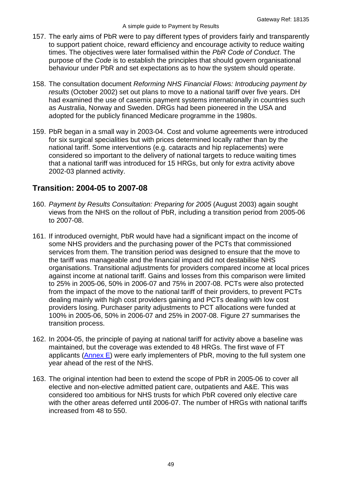- 157. The early aims of PbR were to pay different types of providers fairly and transparently to support patient choice, reward efficiency and encourage activity to reduce waiting times. The objectives were later formalised within the *PbR Code of Conduct*. The purpose of the *Code* is to establish the principles that should govern organisational behaviour under PbR and set expectations as to how the system should operate.
- 158. The consultation document *Reforming NHS Financial Flows: Introducing payment by results* (October 2002) set out plans to move to a national tariff over five years. DH had examined the use of casemix payment systems internationally in countries such as Australia, Norway and Sweden. DRGs had been pioneered in the USA and adopted for the publicly financed Medicare programme in the 1980s.
- 159. PbR began in a small way in 2003-04. Cost and volume agreements were introduced for six surgical specialities but with prices determined locally rather than by the national tariff. Some interventions (e.g. cataracts and hip replacements) were considered so important to the delivery of national targets to reduce waiting times that a national tariff was introduced for 15 HRGs, but only for extra activity above 2002-03 planned activity.

## **Transition: 2004-05 to 2007-08**

- 160. *Payment by Results Consultation: Preparing for 2005* (August 2003) again sought views from the NHS on the rollout of PbR, including a transition period from 2005-06 to 2007-08.
- 161. If introduced overnight, PbR would have had a significant impact on the income of some NHS providers and the purchasing power of the PCTs that commissioned services from them. The transition period was designed to ensure that the move to the tariff was manageable and the financial impact did not destabilise NHS organisations. Transitional adjustments for providers compared income at local prices against income at national tariff. Gains and losses from this comparison were limited to 25% in 2005-06, 50% in 2006-07 and 75% in 2007-08. PCTs were also protected from the impact of the move to the national tariff of their providers, to prevent PCTs dealing mainly with high cost providers gaining and PCTs dealing with low cost providers losing. Purchaser parity adjustments to PCT allocations were funded at 100% in 2005-06, 50% in 2006-07 and 25% in 2007-08. [Figure 27](#page-49-0) summarises the transition process.
- 162. In 2004-05, the principle of paying at national tariff for activity above a baseline was maintained, but the coverage was extended to 48 HRGs. The first wave of FT applicants [\(Annex E\)](#page-70-0) were early implementers of PbR, moving to the full system one year ahead of the rest of the NHS.
- 163. The original intention had been to extend the scope of PbR in 2005-06 to cover all elective and non-elective admitted patient care, outpatients and A&E. This was considered too ambitious for NHS trusts for which PbR covered only elective care with the other areas deferred until 2006-07. The number of HRGs with national tariffs increased from 48 to 550.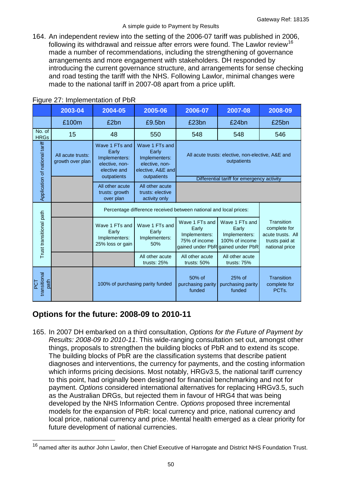164. An independent review into the setting of the 2006-07 tariff was published in 2006, following its withdrawal and reissue after errors were found. The Lawlor review<sup>[16](#page-47-0)</sup> made a number of recommendations, including the strengthening of governance arrangements and more engagement with stakeholders. DH responded by introducing the current governance structure, and arrangements for sense checking and road testing the tariff with the NHS. Following Lawlor, minimal changes were made to the national tariff in 2007-08 apart from a price uplift.

|                                | 2003-04                                                                      | 2004-05                                                                    | 2005-06                                                                         | 2006-07                                                           | 2007-08                                                                                         | 2008-09                                                                             |  |  |
|--------------------------------|------------------------------------------------------------------------------|----------------------------------------------------------------------------|---------------------------------------------------------------------------------|-------------------------------------------------------------------|-------------------------------------------------------------------------------------------------|-------------------------------------------------------------------------------------|--|--|
|                                | £100m                                                                        | £2bn                                                                       | £9.5bn                                                                          | £23bn                                                             | £24bn                                                                                           | £25bn                                                                               |  |  |
| No. of<br><b>HRGs</b>          | 15                                                                           | 48                                                                         | 550                                                                             | 548                                                               | 548                                                                                             | 546                                                                                 |  |  |
| Application of national tariff | All acute trusts:<br>growth over plan                                        | Wave 1 FTs and<br>Early<br>Implementers:<br>elective, non-<br>elective and | Wave 1 FTs and<br>Early<br>Implementers:<br>elective, non-<br>elective, A&E and |                                                                   | All acute trusts: elective, non-elective, A&E and<br>outpatients                                |                                                                                     |  |  |
|                                |                                                                              | outpatients                                                                | outpatients                                                                     |                                                                   | Differential tariff for emergency activity                                                      |                                                                                     |  |  |
|                                |                                                                              | All other acute<br>trusts: growth<br>over plan                             | All other acute<br>trusts: elective<br>activity only                            |                                                                   |                                                                                                 |                                                                                     |  |  |
|                                |                                                                              |                                                                            |                                                                                 | Percentage difference received between national and local prices: |                                                                                                 |                                                                                     |  |  |
| Trust transitional path        | Wave 1 FTs and<br>Early<br>Early<br>Implementers:<br>25% loss or gain<br>50% |                                                                            | Wave 1 FTs and<br>Implementers:                                                 | Wave 1 FTs and<br>Early<br>Implementers:<br>75% of income         | Wave 1 FTs and<br>Early<br>Implementers:<br>100% of income<br>gained under PbR gained under PbR | Transition<br>complete for<br>acute trusts. All<br>trusts paid at<br>national price |  |  |
|                                |                                                                              |                                                                            | All other acute<br>trusts: $25%$                                                | All other acute<br>trusts: 50%                                    | All other acute<br>trusts: 75%                                                                  |                                                                                     |  |  |
| transitional<br>path           |                                                                              |                                                                            | 100% of purchasing parity funded                                                | 50% of<br>purchasing parity<br>funded                             | $25%$ of<br>purchasing parity<br>funded                                                         | Transition<br>complete for<br>PCT <sub>s</sub> .                                    |  |  |

### <span id="page-49-0"></span>Figure 27: Implementation of PbR

## **Options for the future: 2008-09 to 2010-11**

 $\overline{a}$ 

165. In 2007 DH embarked on a third consultation, *Options for the Future of Payment by Results: 2008-09 to 2010-11*. This wide-ranging consultation set out, amongst other things, proposals to strengthen the building blocks of PbR and to extend its scope. The building blocks of PbR are the classification systems that describe patient diagnoses and interventions, the currency for payments, and the costing information which informs pricing decisions. Most notably, HRGv3.5, the national tariff currency to this point, had originally been designed for financial benchmarking and not for payment. *Options* considered international alternatives for replacing HRGv3.5, such as the Australian DRGs, but rejected them in favour of HRG4 that was being developed by the NHS Information Centre. *Options* proposed three incremental models for the expansion of PbR: local currency and price, national currency and local price, national currency and price. Mental health emerged as a clear priority for future development of national currencies.

<sup>&</sup>lt;sup>16</sup> named after its author John Lawlor, then Chief Executive of Harrogate and District NHS Foundation Trust.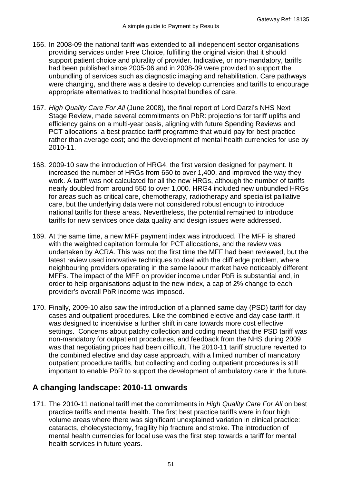- 166. In 2008-09 the national tariff was extended to all independent sector organisations providing services under Free Choice, fulfilling the original vision that it should support patient choice and plurality of provider. Indicative, or non-mandatory, tariffs had been published since 2005-06 and in 2008-09 were provided to support the unbundling of services such as diagnostic imaging and rehabilitation. Care pathways were changing, and there was a desire to develop currencies and tariffs to encourage appropriate alternatives to traditional hospital bundles of care.
- 167. *High Quality Care For All* (June 2008), the final report of Lord Darzi's NHS Next Stage Review, made several commitments on PbR: projections for tariff uplifts and efficiency gains on a multi-year basis, aligning with future Spending Reviews and PCT allocations; a best practice tariff programme that would pay for best practice rather than average cost; and the development of mental health currencies for use by 2010-11.
- 168. 2009-10 saw the introduction of HRG4, the first version designed for payment. It increased the number of HRGs from 650 to over 1,400, and improved the way they work. A tariff was not calculated for all the new HRGs, although the number of tariffs nearly doubled from around 550 to over 1,000. HRG4 included new unbundled HRGs for areas such as critical care, chemotherapy, radiotherapy and specialist palliative care, but the underlying data were not considered robust enough to introduce national tariffs for these areas. Nevertheless, the potential remained to introduce tariffs for new services once data quality and design issues were addressed.
- 169. At the same time, a new MFF payment index was introduced. The MFF is shared with the weighted capitation formula for PCT allocations, and the review was undertaken by ACRA. This was not the first time the MFF had been reviewed, but the latest review used innovative techniques to deal with the cliff edge problem, where neighbouring providers operating in the same labour market have noticeably different MFFs. The impact of the MFF on provider income under PbR is substantial and, in order to help organisations adjust to the new index, a cap of 2% change to each provider's overall PbR income was imposed.
- 170. Finally, 2009-10 also saw the introduction of a planned same day (PSD) tariff for day cases and outpatient procedures. Like the combined elective and day case tariff, it was designed to incentivise a further shift in care towards more cost effective settings. Concerns about patchy collection and coding meant that the PSD tariff was non-mandatory for outpatient procedures, and feedback from the NHS during 2009 was that negotiating prices had been difficult. The 2010-11 tariff structure reverted to the combined elective and day case approach, with a limited number of mandatory outpatient procedure tariffs, but collecting and coding outpatient procedures is still important to enable PbR to support the development of ambulatory care in the future.

# **A changing landscape: 2010-11 onwards**

171. The 2010-11 national tariff met the commitments in *High Quality Care For All* on best practice tariffs and mental health. The first best practice tariffs were in four high volume areas where there was significant unexplained variation in clinical practice: cataracts, cholecystectomy, fragility hip fracture and stroke. The introduction of mental health currencies for local use was the first step towards a tariff for mental health services in future years.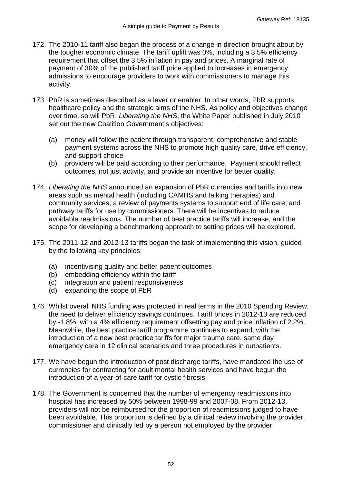- 172. The 2010-11 tariff also began the process of a change in direction brought about by the tougher economic climate. The tariff uplift was 0%, including a 3.5% efficiency requirement that offset the 3.5% inflation in pay and prices. A marginal rate of payment of 30% of the published tariff price applied to increases in emergency admissions to encourage providers to work with commissioners to manage this activity.
- 173. PbR is sometimes described as a lever or enabler. In other words, PbR supports healthcare policy and the strategic aims of the NHS. As policy and objectives change over time, so will PbR. *Liberating the NHS*, the White Paper published in July 2010 set out the new Coalition Government's objectives:
	- (a) money will follow the patient through transparent, comprehensive and stable payment systems across the NHS to promote high quality care, drive efficiency, and support choice
	- (b) providers will be paid according to their performance. Payment should reflect outcomes, not just activity, and provide an incentive for better quality.
- 174. *Liberating the NHS* announced an expansion of PbR currencies and tariffs into new areas such as mental health (including CAMHS and talking therapies) and community services; a review of payments systems to support end of life care; and pathway tariffs for use by commissioners. There will be incentives to reduce avoidable readmissions. The number of best practice tariffs will increase, and the scope for developing a benchmarking approach to setting prices will be explored.
- 175. The 2011-12 and 2012-13 tariffs began the task of implementing this vision, guided by the following key principles:
	- (a) incentivising quality and better patient outcomes
	- (b) embedding efficiency within the tariff
	- (c) integration and patient responsiveness
	- (d) expanding the scope of PbR
- 176. Whilst overall NHS funding was protected in real terms in the 2010 Spending Review, the need to deliver efficiency savings continues. Tariff prices in 2012-13 are reduced by -1.8%, with a 4% efficiency requirement offsetting pay and price inflation of 2.2%. Meanwhile, the best practice tariff programme continues to expand, with the introduction of a new best practice tariffs for major trauma care, same day emergency care in 12 clinical scenarios and three procedures in outpatients.
- 177. We have begun the introduction of post discharge tariffs, have mandated the use of currencies for contracting for adult mental health services and have begun the introduction of a year-of-care tariff for cystic fibrosis.
- 178. The Government is concerned that the number of emergency readmissions into hospital has increased by 50% between 1998-99 and 2007-08. From 2012-13, providers will not be reimbursed for the proportion of readmissions judged to have been avoidable. This proportion is defined by a clinical review involving the provider, commissioner and clinically led by a person not employed by the provider.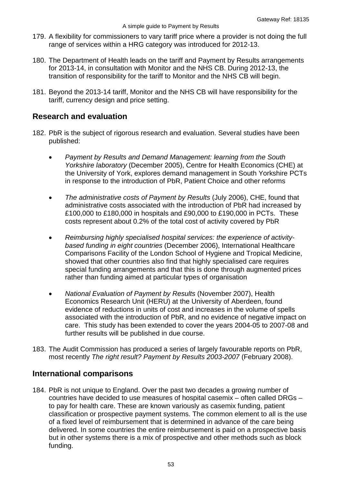- 179. A flexibility for commissioners to vary tariff price where a provider is not doing the full range of services within a HRG category was introduced for 2012-13.
- 180. The Department of Health leads on the tariff and Payment by Results arrangements for 2013-14, in consultation with Monitor and the NHS CB. During 2012-13, the transition of responsibility for the tariff to Monitor and the NHS CB will begin.
- 181. Beyond the 2013-14 tariff, Monitor and the NHS CB will have responsibility for the tariff, currency design and price setting.

## **Research and evaluation**

- 182. PbR is the subject of rigorous research and evaluation. Several studies have been published:
	- *Payment by Results and Demand Management: learning from the South Yorkshire laboratory* (December 2005), Centre for Health Economics (CHE) at the University of York, explores demand management in South Yorkshire PCTs in response to the introduction of PbR, Patient Choice and other reforms
	- *The administrative costs of Payment by Results* (July 2006), CHE, found that administrative costs associated with the introduction of PbR had increased by £100,000 to £180,000 in hospitals and £90,000 to £190,000 in PCTs. These costs represent about 0.2% of the total cost of activity covered by PbR
	- *Reimbursing highly specialised hospital services: the experience of activitybased funding in eight countries* (December 2006), International Healthcare Comparisons Facility of the London School of Hygiene and Tropical Medicine, showed that other countries also find that highly specialised care requires special funding arrangements and that this is done through augmented prices rather than funding aimed at particular types of organisation
	- *National Evaluation of Payment by Results* (November 2007), Health Economics Research Unit (HERU) at the University of Aberdeen, found evidence of reductions in units of cost and increases in the volume of spells associated with the introduction of PbR, and no evidence of negative impact on care. This study has been extended to cover the years 2004-05 to 2007-08 and further results will be published in due course.
- 183. The Audit Commission has produced a series of largely favourable reports on PbR, most recently *The right result? Payment by Results 2003-2007* (February 2008).

## **International comparisons**

184. PbR is not unique to England. Over the past two decades a growing number of countries have decided to use measures of hospital casemix – often called DRGs – to pay for health care. These are known variously as casemix funding, patient classification or prospective payment systems. The common element to all is the use of a fixed level of reimbursement that is determined in advance of the care being delivered. In some countries the entire reimbursement is paid on a prospective basis but in other systems there is a mix of prospective and other methods such as block funding.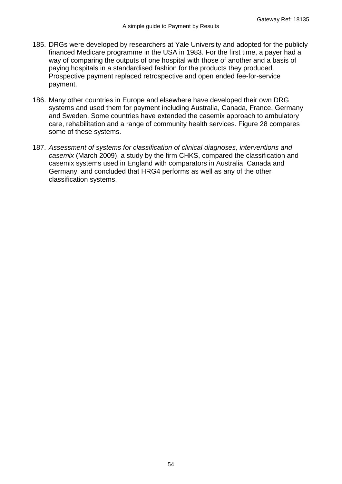- 185. DRGs were developed by researchers at Yale University and adopted for the publicly financed Medicare programme in the USA in 1983. For the first time, a payer had a way of comparing the outputs of one hospital with those of another and a basis of paying hospitals in a standardised fashion for the products they produced. Prospective payment replaced retrospective and open ended fee-for-service payment.
- 186. Many other countries in Europe and elsewhere have developed their own DRG systems and used them for payment including Australia, Canada, France, Germany and Sweden. Some countries have extended the casemix approach to ambulatory care, rehabilitation and a range of community health services. [Figure 28](#page-55-0) compares some of these systems.
- 187. *Assessment of systems for classification of clinical diagnoses, interventions and casemix* (March 2009), a study by the firm CHKS, compared the classification and casemix systems used in England with comparators in Australia, Canada and Germany, and concluded that HRG4 performs as well as any of the other classification systems.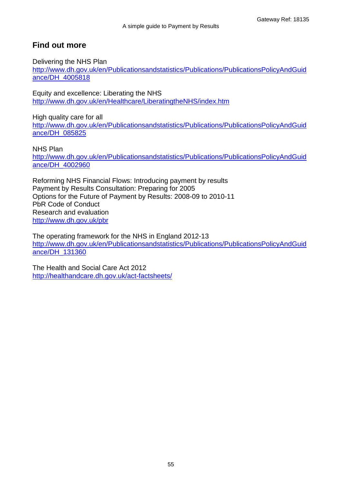# **Find out more**

Delivering the NHS Plan

[http://www.dh.gov.uk/en/Publicationsandstatistics/Publications/PublicationsPolicyAndGuid](http://www.dh.gov.uk/en/Publicationsandstatistics/Publications/PublicationsPolicyAndGuidance/DH_4005818) [ance/DH\\_4005818](http://www.dh.gov.uk/en/Publicationsandstatistics/Publications/PublicationsPolicyAndGuidance/DH_4005818)

Equity and excellence: Liberating the NHS <http://www.dh.gov.uk/en/Healthcare/LiberatingtheNHS/index.htm>

High quality care for all [http://www.dh.gov.uk/en/Publicationsandstatistics/Publications/PublicationsPolicyAndGuid](http://www.dh.gov.uk/en/Publicationsandstatistics/Publications/PublicationsPolicyAndGuidance/DH_085825) [ance/DH\\_085825](http://www.dh.gov.uk/en/Publicationsandstatistics/Publications/PublicationsPolicyAndGuidance/DH_085825)

NHS Plan

[http://www.dh.gov.uk/en/Publicationsandstatistics/Publications/PublicationsPolicyAndGuid](http://www.dh.gov.uk/en/Publicationsandstatistics/Publications/PublicationsPolicyAndGuidance/DH_4002960) [ance/DH\\_4002960](http://www.dh.gov.uk/en/Publicationsandstatistics/Publications/PublicationsPolicyAndGuidance/DH_4002960)

Reforming NHS Financial Flows: Introducing payment by results Payment by Results Consultation: Preparing for 2005 Options for the Future of Payment by Results: 2008-09 to 2010-11 PbR Code of Conduct Research and evaluation <http://www.dh.gov.uk/pbr>

The operating framework for the NHS in England 2012-13 [http://www.dh.gov.uk/en/Publicationsandstatistics/Publications/PublicationsPolicyAndGuid](http://www.dh.gov.uk/en/Publicationsandstatistics/Publications/PublicationsPolicyAndGuidance/DH_131360) [ance/DH\\_131360](http://www.dh.gov.uk/en/Publicationsandstatistics/Publications/PublicationsPolicyAndGuidance/DH_131360)

The Health and Social Care Act 2012 <http://healthandcare.dh.gov.uk/act-factsheets/>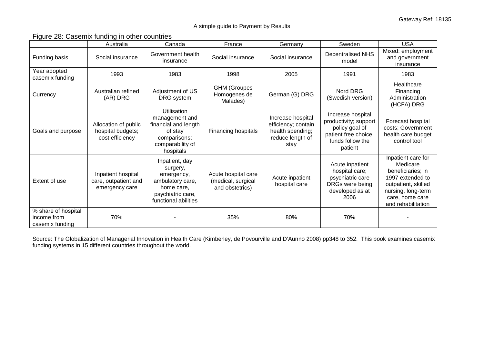#### A simple guide to Payment by Results

Figure 28: Casemix funding in other countries

|                                                       | Australia                                                    | Canada                                                                                                                  | France                                                       | Germany                                                                                  | Sweden                                                                                                              | <b>USA</b>                                                                                                                                                    |
|-------------------------------------------------------|--------------------------------------------------------------|-------------------------------------------------------------------------------------------------------------------------|--------------------------------------------------------------|------------------------------------------------------------------------------------------|---------------------------------------------------------------------------------------------------------------------|---------------------------------------------------------------------------------------------------------------------------------------------------------------|
| Funding basis                                         | Social insurance                                             | Government health<br>insurance                                                                                          | Social insurance                                             | Social insurance                                                                         | <b>Decentralised NHS</b><br>model                                                                                   | Mixed: employment<br>and government<br>insurance                                                                                                              |
| Year adopted<br>casemix funding                       | 1993                                                         | 1983                                                                                                                    | 1998                                                         | 2005                                                                                     | 1991                                                                                                                | 1983                                                                                                                                                          |
| Currency                                              | Australian refined<br>(AR) DRG                               | Adjustment of US<br>DRG system                                                                                          | <b>GHM</b> (Groupes<br>Homogenes de<br>Malades)              | German (G) DRG                                                                           | Nord DRG<br>(Swedish version)                                                                                       | Healthcare<br>Financing<br>Administration<br>(HCFA) DRG                                                                                                       |
| Goals and purpose                                     | Allocation of public<br>hospital budgets;<br>cost efficiency | Utilisation<br>management and<br>financial and length<br>of stay<br>comparisons;<br>comparability of<br>hospitals       | Financing hospitals                                          | Increase hospital<br>efficiency; contain<br>health spending;<br>reduce length of<br>stay | Increase hospital<br>productivity; support<br>policy goal of<br>patient free choice;<br>funds follow the<br>patient | Forecast hospital<br>costs; Government<br>health care budget<br>control tool                                                                                  |
| Extent of use                                         | Inpatient hospital<br>care, outpatient and<br>emergency care | Inpatient, day<br>surgery,<br>emergency,<br>ambulatory care,<br>home care,<br>psychiatric care,<br>functional abilities | Acute hospital care<br>(medical, surgical<br>and obstetrics) | Acute inpatient<br>hospital care                                                         | Acute inpatient<br>hospital care;<br>psychiatric care<br>DRGs were being<br>developed as at<br>2006                 | Inpatient care for<br>Medicare<br>beneficiaries; in<br>1997 extended to<br>outpatient, skilled<br>nursing, long-term<br>care, home care<br>and rehabilitation |
| % share of hospital<br>income from<br>casemix funding | 70%                                                          |                                                                                                                         | 35%                                                          | 80%                                                                                      | 70%                                                                                                                 |                                                                                                                                                               |

<span id="page-55-0"></span>Source: The Globalization of Managerial Innovation in Health Care (Kimberley, de Povourville and D'Aunno 2008) pp348 to 352. This book examines casemix funding systems in 15 different countries throughout the world.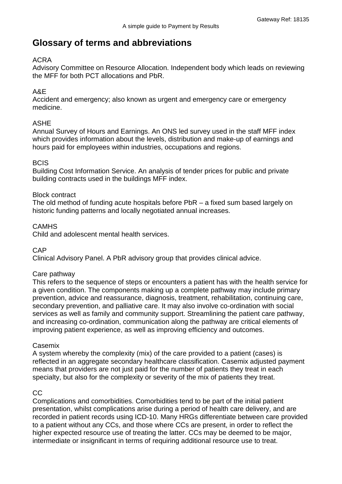# **Glossary of terms and abbreviations**

### ACRA

Advisory Committee on Resource Allocation. Independent body which leads on reviewing the MFF for both PCT allocations and PbR.

### A&E

Accident and emergency; also known as urgent and emergency care or emergency medicine.

### ASHE

Annual Survey of Hours and Earnings. An ONS led survey used in the staff MFF index which provides information about the levels, distribution and make-up of earnings and hours paid for employees within industries, occupations and regions.

#### **BCIS**

Building Cost Information Service. An analysis of tender prices for public and private building contracts used in the buildings MFF index.

#### Block contract

The old method of funding acute hospitals before PbR – a fixed sum based largely on historic funding patterns and locally negotiated annual increases.

#### **CAMHS**

Child and adolescent mental health services.

**CAP** 

Clinical Advisory Panel. A PbR advisory group that provides clinical advice.

#### Care pathway

This refers to the sequence of steps or encounters a patient has with the health service for a given condition. The components making up a complete pathway may include primary prevention, advice and reassurance, diagnosis, treatment, rehabilitation, continuing care, secondary prevention, and palliative care. It may also involve co-ordination with social services as well as family and community support. Streamlining the patient care pathway, and increasing co-ordination, communication along the pathway are critical elements of improving patient experience, as well as improving efficiency and outcomes.

#### Casemix

A system whereby the complexity (mix) of the care provided to a patient (cases) is reflected in an aggregate secondary healthcare classification. Casemix adjusted payment means that providers are not just paid for the number of patients they treat in each specialty, but also for the complexity or severity of the mix of patients they treat.

#### CC

Complications and comorbidities. Comorbidities tend to be part of the initial patient presentation, whilst complications arise during a period of health care delivery, and are recorded in patient records using ICD-10. Many HRGs differentiate between care provided to a patient without any CCs, and those where CCs are present, in order to reflect the higher expected resource use of treating the latter. CCs may be deemed to be major, intermediate or insignificant in terms of requiring additional resource use to treat.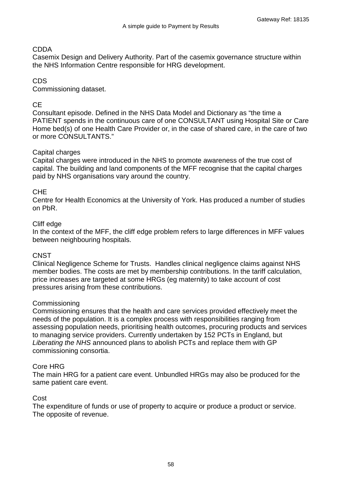### CDDA

Casemix Design and Delivery Authority. Part of the casemix governance structure within the NHS Information Centre responsible for HRG development.

### CDS

Commissioning dataset.

#### CE

Consultant episode. Defined in the NHS Data Model and Dictionary as "the time a PATIENT spends in the continuous care of one CONSULTANT using Hospital Site or Care Home bed(s) of one Health Care Provider or, in the case of shared care, in the care of two or more CONSULTANTS."

#### Capital charges

Capital charges were introduced in the NHS to promote awareness of the true cost of capital. The building and land components of the MFF recognise that the capital charges paid by NHS organisations vary around the country.

#### CHE

Centre for Health Economics at the University of York. Has produced a number of studies on PbR.

#### Cliff edge

In the context of the MFF, the cliff edge problem refers to large differences in MFF values between neighbouring hospitals.

#### **CNST**

Clinical Negligence Scheme for Trusts. Handles clinical negligence claims against NHS member bodies. The costs are met by membership contributions. In the tariff calculation, price increases are targeted at some HRGs (eg maternity) to take account of cost pressures arising from these contributions.

#### Commissioning

Commissioning ensures that the health and care services provided effectively meet the needs of the population. It is a complex process with responsibilities ranging from assessing population needs, prioritising health outcomes, procuring products and services to managing service providers. Currently undertaken by 152 PCTs in England, but *Liberating the NHS* announced plans to abolish PCTs and replace them with GP commissioning consortia.

#### Core HRG

The main HRG for a patient care event. Unbundled HRGs may also be produced for the same patient care event.

#### Cost

The expenditure of funds or use of property to acquire or produce a product or service. The opposite of revenue.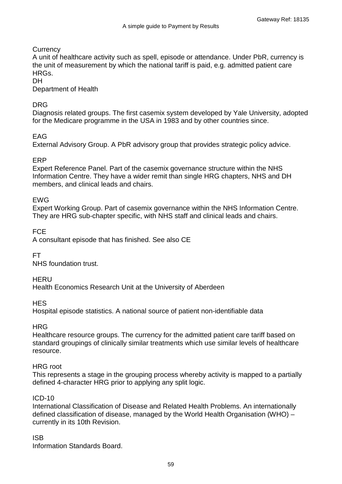### **Currency**

A unit of healthcare activity such as spell, episode or attendance. Under PbR, currency is the unit of measurement by which the national tariff is paid, e.g. admitted patient care HRGs.

DH

Department of Health

#### DRG

Diagnosis related groups. The first casemix system developed by Yale University, adopted for the Medicare programme in the USA in 1983 and by other countries since.

### EAG

External Advisory Group. A PbR advisory group that provides strategic policy advice.

#### ERP

Expert Reference Panel. Part of the casemix governance structure within the NHS Information Centre. They have a wider remit than single HRG chapters, NHS and DH members, and clinical leads and chairs.

#### EWG

Expert Working Group. Part of casemix governance within the NHS Information Centre. They are HRG sub-chapter specific, with NHS staff and clinical leads and chairs.

FCE

A consultant episode that has finished. See also CE

FT

NHS foundation trust.

**HFRU** 

Health Economics Research Unit at the University of Aberdeen

**HFS** 

Hospital episode statistics. A national source of patient non-identifiable data

#### **HRG**

Healthcare resource groups. The currency for the admitted patient care tariff based on standard groupings of clinically similar treatments which use similar levels of healthcare resource.

#### HRG root

This represents a stage in the grouping process whereby activity is mapped to a partially defined 4-character HRG prior to applying any split logic.

#### ICD-10

International Classification of Disease and Related Health Problems. An internationally defined classification of disease, managed by the World Health Organisation (WHO) – currently in its 10th Revision.

ISB

Information Standards Board.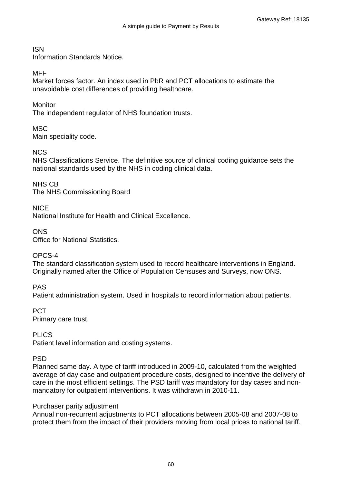ISN

Information Standards Notice.

### **MFF**

Market forces factor. An index used in PbR and PCT allocations to estimate the unavoidable cost differences of providing healthcare.

#### Monitor

The independent regulator of NHS foundation trusts.

#### **MSC**

Main speciality code.

NCS

NHS Classifications Service. The definitive source of clinical coding guidance sets the national standards used by the NHS in coding clinical data.

NHS CB The NHS Commissioning Board

**NICE** 

National Institute for Health and Clinical Excellence.

#### **ONS**

Office for National Statistics.

OPCS-4

The standard classification system used to record healthcare interventions in England. Originally named after the Office of Population Censuses and Surveys, now ONS.

PAS

Patient administration system. Used in hospitals to record information about patients.

PCT

Primary care trust.

PLICS

Patient level information and costing systems.

PSD

Planned same day. A type of tariff introduced in 2009-10, calculated from the weighted average of day case and outpatient procedure costs, designed to incentive the delivery of care in the most efficient settings. The PSD tariff was mandatory for day cases and nonmandatory for outpatient interventions. It was withdrawn in 2010-11.

#### Purchaser parity adjustment

Annual non-recurrent adjustments to PCT allocations between 2005-08 and 2007-08 to protect them from the impact of their providers moving from local prices to national tariff.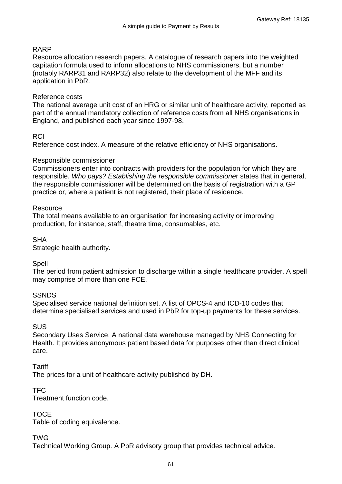#### RARP

Resource allocation research papers. A catalogue of research papers into the weighted capitation formula used to inform allocations to NHS commissioners, but a number (notably RARP31 and RARP32) also relate to the development of the MFF and its application in PbR.

#### Reference costs

The national average unit cost of an HRG or similar unit of healthcare activity, reported as part of the annual mandatory collection of reference costs from all NHS organisations in England, and published each year since 1997-98.

#### **RCI**

Reference cost index. A measure of the relative efficiency of NHS organisations.

#### Responsible commissioner

Commissioners enter into contracts with providers for the population for which they are responsible. *Who pays? Establishing the responsible commissione*r states that in general, the responsible commissioner will be determined on the basis of registration with a GP practice or, where a patient is not registered, their place of residence.

#### **Resource**

The total means available to an organisation for increasing activity or improving production, for instance, staff, theatre time, consumables, etc.

**SHA** 

Strategic health authority.

#### **Spell**

The period from patient admission to discharge within a single healthcare provider. A spell may comprise of more than one FCE.

#### **SSNDS**

Specialised service national definition set. A list of OPCS-4 and ICD-10 codes that determine specialised services and used in PbR for top-up payments for these services.

#### **SUS**

Secondary Uses Service. A national data warehouse managed by NHS Connecting for Health. It provides anonymous patient based data for purposes other than direct clinical care.

**Tariff** 

The prices for a unit of healthcare activity published by DH.

#### TFC

Treatment function code.

TOCE

Table of coding equivalence.

TWG

Technical Working Group. A PbR advisory group that provides technical advice.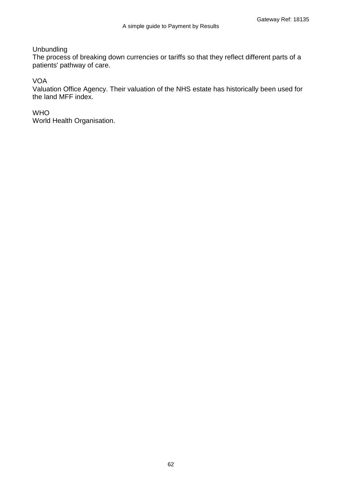**Unbundling** 

The process of breaking down currencies or tariffs so that they reflect different parts of a patients' pathway of care.

VOA

Valuation Office Agency. Their valuation of the NHS estate has historically been used for the land MFF index.

**WHO** 

World Health Organisation.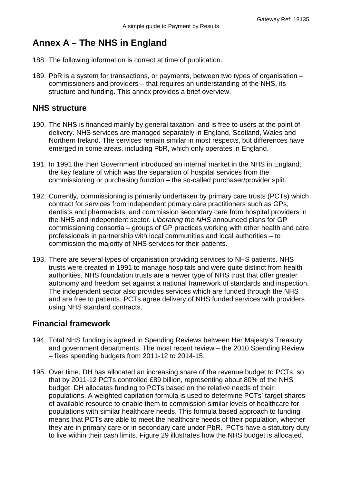# <span id="page-62-0"></span>**Annex A – The NHS in England**

- 188. The following information is correct at time of publication.
- 189. PbR is a system for transactions, or payments, between two types of organisation commissioners and providers – that requires an understanding of the NHS, its structure and funding. This annex provides a brief overview.

## **NHS structure**

- 190. The NHS is financed mainly by general taxation, and is free to users at the point of delivery. NHS services are managed separately in England, Scotland, Wales and Northern Ireland. The services remain similar in most respects, but differences have emerged in some areas, including PbR, which only operates in England.
- 191. In 1991 the then Government introduced an internal market in the NHS in England, the key feature of which was the separation of hospital services from the commissioning or purchasing function – the so-called purchaser/provider split.
- 192. Currently, commissioning is primarily undertaken by primary care trusts (PCTs) which contract for services from independent primary care practitioners such as GPs, dentists and pharmacists, and commission secondary care from hospital providers in the NHS and independent sector. *Liberating the NHS* announced plans for GP commissioning consortia – groups of GP practices working with other health and care professionals in partnership with local communities and local authorities – to commission the majority of NHS services for their patients.
- 193. There are several types of organisation providing services to NHS patients. NHS trusts were created in 1991 to manage hospitals and were quite distinct from health authorities. NHS foundation trusts are a newer type of NHS trust that offer greater autonomy and freedom set against a national framework of standards and inspection. The independent sector also provides services which are funded through the NHS and are free to patients. PCTs agree delivery of NHS funded services with providers using NHS standard contracts.

## **Financial framework**

- 194. Total NHS funding is agreed in Spending Reviews between Her Majesty's Treasury and government departments. The most recent review – the 2010 Spending Review – fixes spending budgets from 2011-12 to 2014-15.
- 195. Over time, DH has allocated an increasing share of the revenue budget to PCTs, so that by 2011-12 PCTs controlled £89 billion, representing about 80% of the NHS budget. DH allocates funding to PCTs based on the relative needs of their populations. A weighted capitation formula is used to determine PCTs' target shares of available resource to enable them to commission similar levels of healthcare for populations with similar healthcare needs. This formula based approach to funding means that PCTs are able to meet the healthcare needs of their population, whether they are in primary care or in secondary care under PbR. PCTs have a statutory duty to live within their cash limits. [Figure 29](#page-63-0) illustrates how the NHS budget is allocated.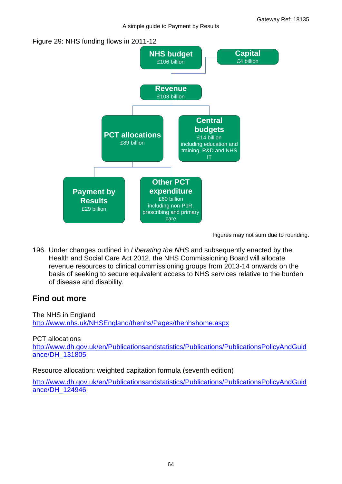<span id="page-63-0"></span>



Figures may not sum due to rounding.

196. Under changes outlined in *Liberating the NHS* and subsequently enacted by the Health and Social Care Act 2012, the NHS Commissioning Board will allocate revenue resources to clinical commissioning groups from 2013-14 onwards on the basis of seeking to secure equivalent access to NHS services relative to the burden of disease and disability.

## **Find out more**

The NHS in England <http://www.nhs.uk/NHSEngland/thenhs/Pages/thenhshome.aspx>

PCT allocations [http://www.dh.gov.uk/en/Publicationsandstatistics/Publications/PublicationsPolicyAndGuid](http://www.dh.gov.uk/en/Publicationsandstatistics/Publications/PublicationsPolicyAndGuidance/DH_131805) [ance/DH\\_131805](http://www.dh.gov.uk/en/Publicationsandstatistics/Publications/PublicationsPolicyAndGuidance/DH_131805) 

Resource allocation: weighted capitation formula (seventh edition)

[http://www.dh.gov.uk/en/Publicationsandstatistics/Publications/PublicationsPolicyAndGuid](http://www.dh.gov.uk/en/Publicationsandstatistics/Publications/PublicationsPolicyAndGuidance/DH_124946) [ance/DH\\_124946](http://www.dh.gov.uk/en/Publicationsandstatistics/Publications/PublicationsPolicyAndGuidance/DH_124946)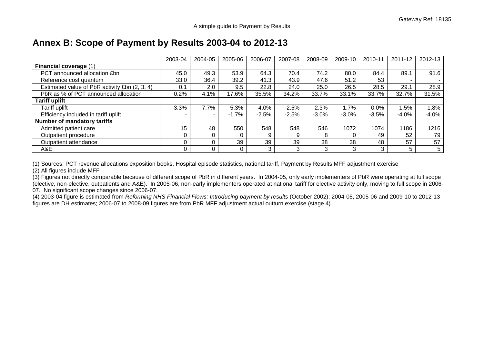# **Annex B: Scope of Payment by Results 2003-04 to 2012-13**

|                                               | 2003-04 | 2004-05 | 2005-06 | 2006-07 | 2007-08 | 2008-09 | 2009-10 | 2010-11 | 2011-12 | 2012-13 |
|-----------------------------------------------|---------|---------|---------|---------|---------|---------|---------|---------|---------|---------|
| Financial coverage (1)                        |         |         |         |         |         |         |         |         |         |         |
| PCT announced allocation £bn                  | 45.0    | 49.3    | 53.9    | 64.3    | 70.4    | 74.2    | 80.0    | 84.4    | 89.1    | 91.6    |
| Reference cost quantum                        | 33.0    | 36.4    | 39.2    | 41.3    | 43.9    | 47.6    | 51.2    | 53      |         |         |
| Estimated value of PbR activity £bn (2, 3, 4) | 0.1     | 2.0     | 9.5     | 22.8    | 24.0    | 25.0    | 26.5    | 28.5    | 29.1    | 28.9    |
| PbR as % of PCT announced allocation          | 0.2%    | 4.1%    | 17.6%   | 35.5%   | 34.2%   | 33.7%   | 33.1%   | 33.7%   | 32.7%   | 31.5%   |
| <b>Tariff uplift</b>                          |         |         |         |         |         |         |         |         |         |         |
| Tariff uplift                                 | 3.3%    | 7.7%    | 5.3%    | 4.0%    | 2.5%    | 2.3%    | 1.7%    | 0.0%    | $-1.5%$ | $-1.8%$ |
| Efficiency included in tariff uplift          |         |         | $-1.7%$ | $-2.5%$ | $-2.5%$ | $-3.0%$ | $-3.0%$ | $-3.5%$ | $-4.0%$ | $-4.0%$ |
| <b>Number of mandatory tariffs</b>            |         |         |         |         |         |         |         |         |         |         |
| Admitted patient care                         | 15      | 48      | 550     | 548     | 548     | 546     | 1072    | 1074    | 1186    | 1216    |
| Outpatient procedure                          |         |         |         | 9       | 9       |         |         | 49      | 52      | 79      |
| Outpatient attendance                         |         |         | 39      | 39      | 39      | 38      | 38      | 48      | 57      | 57      |
| A&E                                           |         |         |         | 3       | 3       |         | 3       | 3       | 5       | 5       |

(1) Sources: PCT revenue allocations exposition books, Hospital episode statistics, national tariff, Payment by Results MFF adjustment exercise

(2) All figures include MFF

(3) Figures not directly comparable because of different scope of PbR in different years. In 2004-05, only early implementers of PbR were operating at full scope (elective, non-elective, outpatients and A&E). In 2005-06, non-early implementers operated at national tariff for elective activity only, moving to full scope in 2006- 07. No significant scope changes since 2006-07.

<span id="page-64-0"></span>(4) 2003-04 figure is estimated from *Reforming NHS Financial Flows: Introducing payment by results* (October 2002); 2004-05, 2005-06 and 2009-10 to 2012-13 figures are DH estimates; 2006-07 to 2008-09 figures are from PbR MFF adjustment actual outturn exercise (stage 4)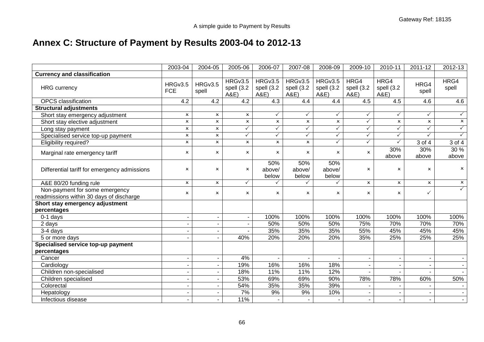# **Annex C: Structure of Payment by Results 2003-04 to 2012-13**

|                                                                            | 2003-04                   | 2004-05                   | 2005-06                      | 2006-07                      | 2007-08                      | 2008-09                      | 2009-10                   | 2010-11                   | 2011-12                   | 2012-13                   |
|----------------------------------------------------------------------------|---------------------------|---------------------------|------------------------------|------------------------------|------------------------------|------------------------------|---------------------------|---------------------------|---------------------------|---------------------------|
| <b>Currency and classification</b>                                         |                           |                           |                              |                              |                              |                              |                           |                           |                           |                           |
| <b>HRG</b> currency                                                        | HRGv3.5<br><b>FCE</b>     | HRGv3.5<br>spell          | HRGv3.5<br>spell (3.2<br>A&E | HRGv3.5<br>spell (3.2<br>A&E | HRGv3.5<br>spell (3.2<br>A&E | HRGv3.5<br>spell (3.2<br>A&E | HRG4<br>spell (3.2<br>A&E | HRG4<br>spell (3.2<br>A&E | HRG4<br>spell             | HRG4<br>spell             |
| <b>OPCS</b> classification                                                 | 4.2                       | 4.2                       | 4.2                          | $\overline{4.3}$             | $\overline{4.4}$             | 4.4                          | 4.5                       | 4.5                       | 4.6                       | 4.6                       |
| <b>Structural adjustments</b>                                              |                           |                           |                              |                              |                              |                              |                           |                           |                           |                           |
| Short stay emergency adjustment                                            | $\boldsymbol{\mathsf{x}}$ | x                         | x                            | $\checkmark$                 | ✓                            | $\checkmark$                 | ✓                         | ✓                         | $\checkmark$              | $\checkmark$              |
| Short stay elective adjustment                                             | $\pmb{\times}$            | $\pmb{\times}$            | $\pmb{\times}$               | $\pmb{\times}$               | $\pmb{\times}$               | $\pmb{\times}$               | ✓                         | $\boldsymbol{\mathsf{x}}$ | $\pmb{\times}$            | $\boldsymbol{\mathsf{x}}$ |
| Long stay payment                                                          | $\pmb{\times}$            | $\boldsymbol{\mathsf{x}}$ | ✓                            | $\checkmark$                 | ✓                            | ✓                            | ✓                         | ✓                         | $\checkmark$              | $\checkmark$              |
| Specialised service top-up payment                                         | $\pmb{\times}$            | x                         | ✓                            | $\checkmark$                 | $\checkmark$                 | ✓                            | ✓                         | ✓                         | $\checkmark$              | $\checkmark$              |
| Eligibility required?                                                      | $\pmb{\times}$            | $\mathsf{x}$              | $\boldsymbol{\mathsf{x}}$    | $\mathbf{x}$                 | $\mathbf{x}$                 | $\checkmark$                 | $\checkmark$              | $\checkmark$              | 3 of 4                    | $3$ of $4$                |
| Marginal rate emergency tariff                                             | $\pmb{\times}$            | $\boldsymbol{\mathsf{x}}$ | $\boldsymbol{\mathsf{x}}$    | $\boldsymbol{\mathsf{x}}$    | $\boldsymbol{\mathsf{x}}$    | $\boldsymbol{\mathsf{x}}$    | $\boldsymbol{\mathsf{x}}$ | 30%<br>above              | 30%<br>above              | 30%<br>above              |
| Differential tariff for emergency admissions                               | $\boldsymbol{\mathsf{x}}$ | $\boldsymbol{\mathsf{x}}$ | $\boldsymbol{\mathsf{x}}$    | 50%<br>above/<br>below       | 50%<br>above/<br>below       | 50%<br>above/<br>below       | $\boldsymbol{\mathsf{x}}$ | $\boldsymbol{\mathsf{x}}$ | $\boldsymbol{\mathsf{x}}$ | $\boldsymbol{\mathsf{x}}$ |
| A&E 80/20 funding rule                                                     | $\boldsymbol{\mathsf{x}}$ | x                         | ✓                            | ✓                            | ✓                            |                              | $\boldsymbol{\mathsf{x}}$ | $\boldsymbol{\mathsf{x}}$ | $\boldsymbol{\mathsf{x}}$ | $\boldsymbol{\mathsf{x}}$ |
| Non-payment for some emergency<br>readmissions within 30 days of discharge | $\pmb{\times}$            | x                         | x                            | $\pmb{\times}$               | $\boldsymbol{\mathsf{x}}$    | x                            | x                         | x                         | $\checkmark$              | $\checkmark$              |
| Short stay emergency adjustment<br>percentages                             |                           |                           |                              |                              |                              |                              |                           |                           |                           |                           |
| $0-1$ days                                                                 |                           |                           |                              | 100%                         | 100%                         | 100%                         | 100%                      | 100%                      | 100%                      | 100%                      |
| 2 days                                                                     |                           |                           |                              | 50%                          | 50%                          | 50%                          | 75%                       | 70%                       | 70%                       | 70%                       |
| 3-4 days                                                                   |                           |                           |                              | 35%                          | 35%                          | 35%                          | 55%                       | 45%                       | 45%                       | 45%                       |
| 5 or more days                                                             |                           |                           | 40%                          | 20%                          | 20%                          | 20%                          | 35%                       | 25%                       | 25%                       | 25%                       |
| Specialised service top-up payment                                         |                           |                           |                              |                              |                              |                              |                           |                           |                           |                           |
| percentages                                                                |                           |                           |                              |                              |                              |                              |                           |                           |                           |                           |
| Cancer                                                                     |                           |                           | 4%                           |                              |                              |                              |                           |                           | $\overline{\phantom{a}}$  |                           |
| Cardiology                                                                 |                           |                           | 19%                          | 16%                          | 16%                          | 18%                          |                           |                           |                           | $\blacksquare$            |
| Children non-specialised                                                   |                           |                           | 18%                          | 11%                          | 11%                          | 12%                          |                           |                           |                           |                           |
| Children specialised                                                       |                           |                           | 53%                          | 69%                          | 69%                          | 90%                          | 78%                       | 78%                       | 60%                       | 50%                       |
| Colorectal                                                                 |                           |                           | 54%                          | 35%                          | 35%                          | 39%                          |                           |                           |                           | $\blacksquare$            |
| Hepatology                                                                 |                           |                           | 7%                           | 9%                           | 9%                           | 10%                          |                           |                           |                           | $\blacksquare$            |
| Infectious disease                                                         |                           |                           | 11%                          |                              |                              |                              |                           |                           |                           | $\blacksquare$            |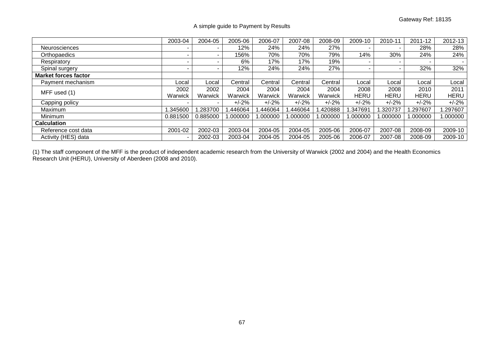#### A simple guide to Payment by Results

|                             | 2003-04  | 2004-05  | 2005-06 | 2006-07 | 2007-08  | 2008-09  | 2009-10     | 2010-11     | 2011-12  | 2012-13     |
|-----------------------------|----------|----------|---------|---------|----------|----------|-------------|-------------|----------|-------------|
| Neurosciences               |          |          | 12%     | 24%     | 24%      | 27%      |             |             | 28%      | 28%         |
| Orthopaedics                |          |          | 156%    | 70%     | 70%      | 79%      | 14%         | 30%         | 24%      | 24%         |
| Respiratory                 |          |          | 6%      | 17%     | 17%      | 19%      |             |             |          |             |
| Spinal surgery              |          |          | 12%     | 24%     | 24%      | 27%      |             |             | 32%      | 32%         |
| <b>Market forces factor</b> |          |          |         |         |          |          |             |             |          |             |
| Payment mechanism           | Local    | Local    | Central | Central | Central  | Central  | Local       | Local       | Local    | Local       |
| MFF used (1)                | 2002     | 2002     | 2004    | 2004    | 2004     | 2004     | 2008        | 2008        | 2010     | 2011        |
|                             | Warwick  | Warwick  | Warwick | Warwick | Warwick  | Warwick  | <b>HERU</b> | <b>HERU</b> | HERU     | <b>HERU</b> |
| Capping policy              |          |          | $+/-2%$ | $+/-2%$ | $+/-2%$  | $+/-2%$  | $+/-2%$     | $+/-2%$     | $+/-2%$  | $+/-2%$     |
| Maximum                     | .345600  | .283700  | .446064 | .446064 | .446064  | .420888  | .347691     | .320737     | 1.297607 | .297607     |
| Minimum                     | 0.881500 | 0.885000 | .000000 | 000000. | 1.000000 | 1.000000 | .000000     | 000000.     | 1.000000 | .000000     |
| Calculation                 |          |          |         |         |          |          |             |             |          |             |
| Reference cost data         | 2001-02  | 2002-03  | 2003-04 | 2004-05 | 2004-05  | 2005-06  | 2006-07     | 2007-08     | 2008-09  | 2009-10     |
| Activity (HES) data         |          | 2002-03  | 2003-04 | 2004-05 | 2004-05  | 2005-06  | 2006-07     | 2007-08     | 2008-09  | 2009-10     |

(1) The staff component of the MFF is the product of independent academic research from the University of Warwick (2002 and 2004) and the Health Economics Research Unit (HERU), University of Aberdeen (2008 and 2010).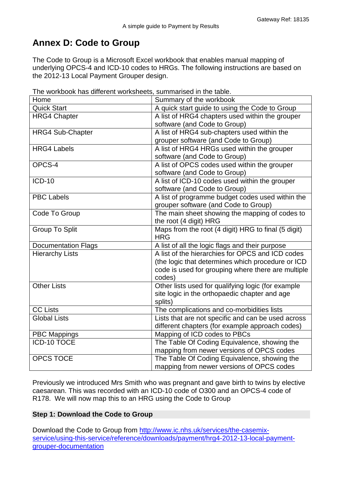# **Annex D: Code to Group**

The Code to Group is a Microsoft Excel workbook that enables manual mapping of underlying OPCS-4 and ICD-10 codes to HRGs. The following instructions are based on the 2012-13 Local Payment Grouper design.

| The workbook has different worksheets, summarised in the table. |  |
|-----------------------------------------------------------------|--|
|-----------------------------------------------------------------|--|

| Home                       | Summary of the workbook                             |
|----------------------------|-----------------------------------------------------|
| <b>Quick Start</b>         | A quick start guide to using the Code to Group      |
| <b>HRG4 Chapter</b>        | A list of HRG4 chapters used within the grouper     |
|                            | software (and Code to Group)                        |
| <b>HRG4 Sub-Chapter</b>    | A list of HRG4 sub-chapters used within the         |
|                            | grouper software (and Code to Group)                |
| <b>HRG4 Labels</b>         | A list of HRG4 HRGs used within the grouper         |
|                            | software (and Code to Group)                        |
| OPCS-4                     | A list of OPCS codes used within the grouper        |
|                            | software (and Code to Group)                        |
| <b>ICD-10</b>              | A list of ICD-10 codes used within the grouper      |
|                            | software (and Code to Group)                        |
| <b>PBC Labels</b>          | A list of programme budget codes used within the    |
|                            | grouper software (and Code to Group)                |
| Code To Group              | The main sheet showing the mapping of codes to      |
|                            | the root (4 digit) HRG                              |
| <b>Group To Split</b>      | Maps from the root (4 digit) HRG to final (5 digit) |
|                            | <b>HRG</b>                                          |
| <b>Documentation Flags</b> | A list of all the logic flags and their purpose     |
| <b>Hierarchy Lists</b>     | A list of the hierarchies for OPCS and ICD codes    |
|                            | (the logic that determines which procedure or ICD   |
|                            | code is used for grouping where there are multiple  |
|                            | codes)                                              |
| <b>Other Lists</b>         | Other lists used for qualifying logic (for example  |
|                            | site logic in the orthopaedic chapter and age       |
|                            | splits)                                             |
| <b>CC Lists</b>            | The complications and co-morbidities lists          |
| <b>Global Lists</b>        | Lists that are not specific and can be used across  |
|                            | different chapters (for example approach codes)     |
| <b>PBC Mappings</b>        | Mapping of ICD codes to PBCs                        |
| <b>ICD-10 TOCE</b>         | The Table Of Coding Equivalence, showing the        |
|                            | mapping from newer versions of OPCS codes           |
| <b>OPCS TOCE</b>           | The Table Of Coding Equivalence, showing the        |
|                            | mapping from newer versions of OPCS codes           |

Previously we introduced Mrs Smith who was pregnant and gave birth to twins by elective caesarean. This was recorded with an ICD-10 code of O300 and an OPCS-4 code of R178. We will now map this to an HRG using the Code to Group

### **Step 1: Download the Code to Group**

Download the Code to Group from [http://www.ic.nhs.uk/services/the-casemix](http://www.ic.nhs.uk/services/the-casemix-service/using-this-service/reference/downloads/payment/hrg4-2012-13-local-payment-grouper-documentation)[service/using-this-service/reference/downloads/payment/hrg4-2012-13-local-payment](http://www.ic.nhs.uk/services/the-casemix-service/using-this-service/reference/downloads/payment/hrg4-2012-13-local-payment-grouper-documentation)[grouper-documentation](http://www.ic.nhs.uk/services/the-casemix-service/using-this-service/reference/downloads/payment/hrg4-2012-13-local-payment-grouper-documentation)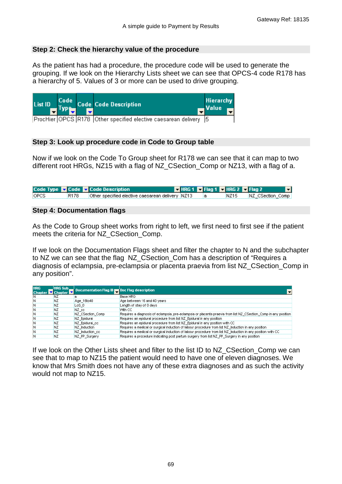#### **Step 2: Check the hierarchy value of the procedure**

As the patient has had a procedure, the procedure code will be used to generate the grouping. If we look on the Hierarchy Lists sheet we can see that OPCS-4 code R178 has a hierarchy of 5. Values of 3 or more can be used to drive grouping.



#### **Step 3: Look up procedure code in Code to Group table**

Now if we look on the Code To Group sheet for R178 we can see that it can map to two different root HRGs, NZ15 with a flag of NZ\_CSection\_Comp or NZ13, with a flag of a.

|        |        | Code Type Code v Code Description                  |  | <b>EX HRG 1 EX Flag 1 EX HRG 2 EX Flag 2</b> |        |                   |  |
|--------|--------|----------------------------------------------------|--|----------------------------------------------|--------|-------------------|--|
| lopcs: | R178 - | Other specified elective caesarean delivery [NZ13] |  |                                              | INZ15. | INZ CSection Comp |  |

#### **Step 4: Documentation flags**

As the Code to Group sheet works from right to left, we first need to first see if the patient meets the criteria for NZ\_CSection\_Comp.

If we look on the Documentation Flags sheet and filter the chapter to N and the subchapter to NZ we can see that the flag NZ\_CSection\_Com has a description of "Requires a diagnosis of eclampsia, pre-eclampsia or placenta praevia from list NZ\_CSection\_Comp in any position".

| <b>HRG</b> | <b>HRG Sub</b> | Documentation Flag ID <b>par</b> Doc Flag description |                                                                                                                  |  |
|------------|----------------|-------------------------------------------------------|------------------------------------------------------------------------------------------------------------------|--|
|            | 'hanter l      |                                                       |                                                                                                                  |  |
|            |                |                                                       | Base HRG                                                                                                         |  |
|            |                | Age_16to40                                            | Age between 16 and 40 years                                                                                      |  |
| IN         |                | LoS O                                                 | Length of stay of 0 days                                                                                         |  |
| IN         | N Z            | INZ cc                                                | With CC                                                                                                          |  |
| IN         | N7             | NZ CSection Comp                                      | Requires a diagnosis of eclampsia, pre-eclampsia or placenta praevia from list NZ_CSection_Comp in any position: |  |
|            |                | NZ Epidural                                           | Requires an epidural procedure from list NZ Epidural in any position                                             |  |
|            |                | NZ_Epidural_cc                                        | Requires an epidural procedure from list NZ_Epidural in any position with CC.                                    |  |
|            |                | NZ Induction                                          | Requires a medical or surgical induction of labour procedure from list NZ_Induction in any position              |  |
| IN         |                | NZ Induction cc                                       | Requires a medical or surgical induction of labour procedure from list NZ_Induction in any position with CC.     |  |
| IN         |                | INZ PP Surgery                                        | Requires a procedure indicating post partum surgery from list NZ_PP_Surgery in any position:                     |  |

If we look on the Other Lists sheet and filter to the list ID to NZ CSection Comp we can see that to map to NZ15 the patient would need to have one of eleven diagnoses. We know that Mrs Smith does not have any of these extra diagnoses and as such the activity would not map to NZ15.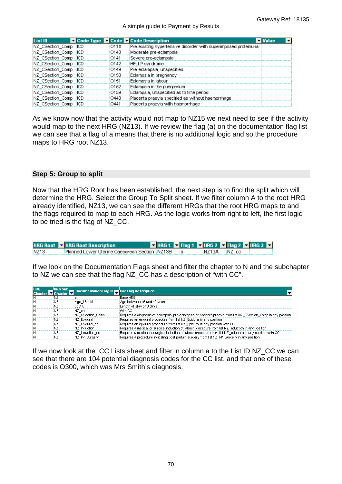#### A simple guide to Payment by Results

| List ID          |     |      | Code Type <b>De</b> Code <b>De</b> Code Description              |  |  |
|------------------|-----|------|------------------------------------------------------------------|--|--|
| CSection Comp    |     | O11X | Pre-existing hypertensive disorder with superimposed proteinuria |  |  |
| CSection Comp    |     | O140 | Moderate pre-eclampsia                                           |  |  |
| NZ CSection Comp | ICD | O141 | Severe pre-eclampsia                                             |  |  |
| NZ CSection Comp | ICD | O142 | HELLP syndrome                                                   |  |  |
| CSection Comp    | ICD | O149 | Pre-eclampsia, unspecified                                       |  |  |
| CSection Comp    | ICD | 0150 | Eclampsia in pregnancy                                           |  |  |
| CSection Comp    |     | 0151 | Eclampsia in labour                                              |  |  |
| CSection Comp    | ICD | 0152 | Eclampsia in the puerperium                                      |  |  |
| CSection Comp    |     | 0159 | Eclampsia, unspecified as to time period                         |  |  |
| CSection Comp    |     | O440 | Placenta praevia specified as without haemorrhage                |  |  |
| CSection Comp    |     |      | Placenta praevia with haemorrhage                                |  |  |

As we know now that the activity would not map to NZ15 we next need to see if the activity would map to the next HRG (NZ13). If we review the flag (a) on the documentation flag list we can see that a flag of a means that there is no additional logic and so the procedure maps to HRG root NZ13.

#### **Step 5: Group to split**

Now that the HRG Root has been established, the next step is to find the split which will determine the HRG. Select the Group To Split sheet. If we filter column A to the root HRG already identified, NZ13, we can see the different HRGs that the root HRG maps to and the flags required to map to each HRG. As the logic works from right to left, the first logic to be tried is the flag of NZ\_CC.

|                   | <b>HRG Root v</b> HRG Root Description          |  |  | <b>E</b> HRG 1 <b>E</b> Flag 1 <b>E</b> HRG 2 <b>E</b> Flag 2 <b>E</b> HRG 3 <b>E</b> |  |  |
|-------------------|-------------------------------------------------|--|--|---------------------------------------------------------------------------------------|--|--|
| INZ <sub>13</sub> | Planned Lower Uterine Caesarean Section (NZ13B) |  |  | iNZ13A iNZ cc                                                                         |  |  |

If we look on the Documentation Flags sheet and filter the chapter to N and the subchapter to NZ we can see that the flag NZ\_CC has a description of "with CC".

| <b>HRG</b> | <b>HRG Sub</b>   | Documentation Flag ID <b>par</b> Doc Flag description |                                                                                                                  |  |
|------------|------------------|-------------------------------------------------------|------------------------------------------------------------------------------------------------------------------|--|
|            | <b>Banter VA</b> |                                                       |                                                                                                                  |  |
|            |                  |                                                       | Base HRG                                                                                                         |  |
|            |                  | Age_16to40                                            | Age between 16 and 40 years                                                                                      |  |
| IN         | ΝZ               | LoS 0                                                 | Length of stay of 0 days                                                                                         |  |
| IN         | N7               | INZ cc                                                | With CC                                                                                                          |  |
|            |                  | NZ CSection Comp                                      | ∃Requires a diagnosis of eclampsia, pre-eclampsia or placenta praevia from list NZ_CSection_Comp in any position |  |
| IN         |                  | NZ Epidural                                           | Requires an epidural procedure from list NZ_Epidural in any position                                             |  |
| IN         |                  | NZ Epidural cc                                        | Requires an epidural procedure from list NZ Epidural in any position with CC.                                    |  |
|            | N17              | NZ Induction                                          | Requires a medical or surgical induction of labour procedure from list NZ_Induction in any position              |  |
|            |                  | NZ Induction cc                                       | Requires a medical or surgical induction of labour procedure from list NZ_Induction in any position with CC.     |  |
|            |                  | N7 PP Surgery                                         | :Requires a procedure indicating nost partum surgery from list N7_PP. Surgery in any position.                   |  |

If we now look at the CC Lists sheet and filter in column a to the List ID NZ CC we can see that there are 104 potential diagnosis codes for the CC list, and that one of these codes is O300, which was Mrs Smith's diagnosis.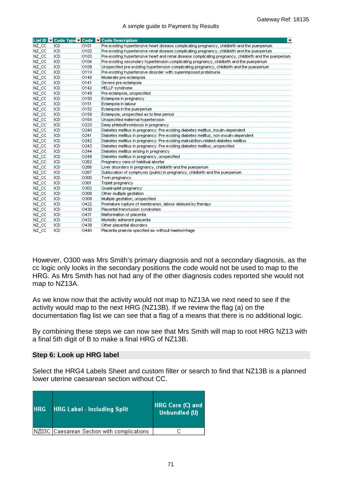#### A simple guide to Payment by Results

|        |            |                  | List ID Code Type Code Code Code Description<br>►                                                       |  |
|--------|------------|------------------|---------------------------------------------------------------------------------------------------------|--|
| NZ CC  | icp        | 0101             | Pre-existing hypertensive heart disease complicating pregnancy, childbirth and the puerperium           |  |
| NZ_CC  | <b>ICD</b> | 0102             | Pre-existing hypertensive renal disease complicating pregnancy, childbirth and the puerperium           |  |
| NZ_CC  | <b>ICD</b> | 0103             | Pre-existing hypertensive heart and renal disease complicating pregnancy, childbirth and the puerperium |  |
| NZ_CC  | <b>ICD</b> | 0104             | Pre-existing secondary hypertension complicating pregnancy, childbirth and the puerperium               |  |
| NZ_CC  | <b>ICD</b> | 0109             | Unspecified pre-existing hypertension complicating pregnancy, childbirth and the puerperium             |  |
| NZ CC  | <b>ICD</b> | O11X             | Pre-existing hypertensive disorder with superimposed proteinurial                                       |  |
| NZ_CC  | ICD        | O140             | Moderate pre-eclampsia                                                                                  |  |
| NZ CC  | <b>ICD</b> | O141             | Severe pre-eclampsia                                                                                    |  |
| NZ_CC  | ICD.       | O142             | HELLP syndrome                                                                                          |  |
| NZ_CC  | <b>ICD</b> | O149             | Pre-eclampsia, unspecified                                                                              |  |
| NZ_CC  | <b>ICD</b> | 0150             | Eclampsia in pregnancy                                                                                  |  |
| NZ_CC  | icD.       | 0151             | Eclampsia in labour                                                                                     |  |
| NZ_CC  | <b>ICD</b> | 0152             | Eclampsia in the puerperium                                                                             |  |
| NZ CC  | icD        | 0159             | Eclampsia, unspecified as to time period                                                                |  |
| NZ CC  | icD        | O16X             | Unspecified maternal hypertension                                                                       |  |
| NZ CC  | <b>ICD</b> | 0223             | Deep phlebothrombosis in pregnancy                                                                      |  |
| NZ CC  | icD        | O <sub>240</sub> | Diabetes mellitus in pregnancy: Pre-existing diabetes mellitus, insulin-dependent                       |  |
| NZ_CC  | <b>ICD</b> | O241             | Diabetes mellitus in pregnancy: Pre-existing diabetes mellitus, non-insulin-dependent                   |  |
| NZ_CC  | icD        | 0242             | Diabetes mellitus in pregnancy: Pre-existing malnutrition-related diabetes mellitus                     |  |
| NZ_CC  | icp        | O <sub>243</sub> | Diabetes mellitus in pregnancy: Pre-existing diabetes mellitus, unspecified                             |  |
| NZ CC  | icD        | O244             | Diabetes mellitus arising in pregnancy                                                                  |  |
| NZ_CC  | icp        | O <sub>249</sub> | Diabetes mellitus in pregnancy, unspecified                                                             |  |
| NZ CC  | icp        | 0262             | Pregnancy care of habitual aborter                                                                      |  |
| NZ CC  | icp        | 0266             | Liver disorders in pregnancy, childbirth and the puerperium                                             |  |
| NZ CC  | icp        | 0267             | Subluxation of symphysis (pubis) in pregnancy, childbirth and the puerperium                            |  |
| NZ_CC  | icp        | 0300             | Twin pregnancy                                                                                          |  |
| NZ_CC  | icD        | O301             | Triplet pregnancy                                                                                       |  |
| NZ_CC  | icD        | O302             | Quadruplet pregnancy                                                                                    |  |
| NZ_CC  | icp        | O308             | Other multiple gestation                                                                                |  |
| NZ_CC  | <b>ICD</b> | O309             | Multiple gestation, unspecified                                                                         |  |
| NZ_CC  | <b>ICD</b> | O422             | Premature rupture of membranes, labour delayed by therapy                                               |  |
| NZ_CC  | <b>ICD</b> | 0430             | Placental transfusion syndromes                                                                         |  |
| NZ_CC  | ICD        | 0431             | Malformation of placental                                                                               |  |
| NZ CC  | <b>ICD</b> | 0432             | Morbidly adherent placenta                                                                              |  |
| NZ_CC  | ICD.       | O438             | Other placental disorders                                                                               |  |
| INZ CC | ICD        | O440             | Placenta praevia specified as without haemorrhage                                                       |  |

However, O300 was Mrs Smith's primary diagnosis and not a secondary diagnosis, as the cc logic only looks in the secondary positions the code would not be used to map to the HRG. As Mrs Smith has not had any of the other diagnosis codes reported she would not map to NZ13A.

As we know now that the activity would not map to NZ13A we next need to see if the activity would map to the next HRG (NZ13B). If we review the flag (a) on the documentation flag list we can see that a flag of a means that there is no additional logic.

By combining these steps we can now see that Mrs Smith will map to root HRG NZ13 with a final 5th digit of B to make a final HRG of NZ13B.

#### **Step 6: Look up HRG label**

Select the HRG4 Labels Sheet and custom filter or search to find that NZ13B is a planned lower uterine caesarean section without CC.

<span id="page-70-0"></span>

| <b>HRG</b> | <b>HRG Label - Including Split</b>         | HRG Core (C) and<br>Unbundled (U) |
|------------|--------------------------------------------|-----------------------------------|
|            | NZD3C Caesarean Section with complications |                                   |